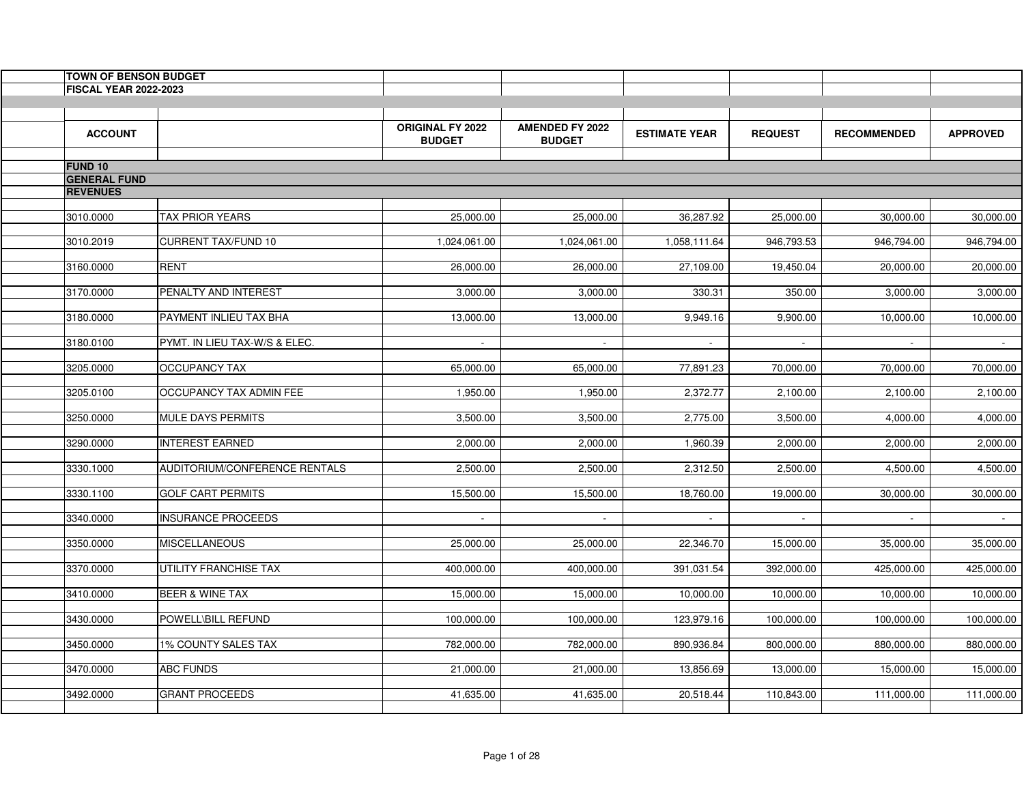| <b>TOWN OF BENSON BUDGET</b>          |                               |                                          |                                         |                      |                |                    |                 |
|---------------------------------------|-------------------------------|------------------------------------------|-----------------------------------------|----------------------|----------------|--------------------|-----------------|
| <b>FISCAL YEAR 2022-2023</b>          |                               |                                          |                                         |                      |                |                    |                 |
|                                       |                               |                                          |                                         |                      |                |                    |                 |
| <b>ACCOUNT</b>                        |                               | <b>ORIGINAL FY 2022</b><br><b>BUDGET</b> | <b>AMENDED FY 2022</b><br><b>BUDGET</b> | <b>ESTIMATE YEAR</b> | <b>REQUEST</b> | <b>RECOMMENDED</b> | <b>APPROVED</b> |
|                                       |                               |                                          |                                         |                      |                |                    |                 |
| <b>FUND 10</b><br><b>GENERAL FUND</b> |                               |                                          |                                         |                      |                |                    |                 |
| <b>REVENUES</b>                       |                               |                                          |                                         |                      |                |                    |                 |
|                                       |                               |                                          |                                         |                      |                |                    |                 |
| 3010.0000                             | <b>TAX PRIOR YEARS</b>        | 25,000.00                                | 25,000.00                               | 36,287.92            | 25,000.00      | 30,000.00          | 30,000.00       |
| 3010.2019                             | <b>CURRENT TAX/FUND 10</b>    | 1,024,061.00                             | 1,024,061.00                            | 1,058,111.64         | 946,793.53     | 946,794.00         | 946,794.00      |
|                                       |                               |                                          |                                         |                      |                |                    |                 |
| 3160.0000                             | <b>RENT</b>                   | 26,000.00                                | 26,000.00                               | 27,109.00            | 19,450.04      | 20,000.00          | 20,000.00       |
|                                       | PENALTY AND INTEREST          | 3,000.00                                 | 3,000.00                                | 330.31               | 350.00         | 3,000.00           |                 |
| 3170.0000                             |                               |                                          |                                         |                      |                |                    | 3,000.00        |
| 3180.0000                             | PAYMENT INLIEU TAX BHA        | 13,000.00                                | 13,000.00                               | 9,949.16             | 9,900.00       | 10,000.00          | 10,000.00       |
|                                       |                               |                                          |                                         |                      |                |                    |                 |
| 3180.0100                             | PYMT. IN LIEU TAX-W/S & ELEC. | $\sim$                                   | $\sim$                                  |                      |                |                    | $\sim$          |
| 3205.0000                             | <b>OCCUPANCY TAX</b>          | 65,000.00                                | 65,000.00                               | 77,891.23            | 70,000.00      | 70,000.00          | 70,000.00       |
|                                       |                               |                                          |                                         |                      |                |                    |                 |
| 3205.0100                             | OCCUPANCY TAX ADMIN FEE       | 1,950.00                                 | 1,950.00                                | 2,372.77             | 2,100.00       | 2,100.00           | 2,100.00        |
| 3250.0000                             | <b>MULE DAYS PERMITS</b>      | 3,500.00                                 | 3,500.00                                | 2,775.00             | 3,500.00       | 4,000.00           | 4,000.00        |
|                                       |                               |                                          |                                         |                      |                |                    |                 |
| 3290.0000                             | <b>INTEREST EARNED</b>        | 2,000.00                                 | 2,000.00                                | 1,960.39             | 2,000.00       | 2,000.00           | 2,000.00        |
|                                       |                               |                                          |                                         |                      |                |                    |                 |
| 3330.1000                             | AUDITORIUM/CONFERENCE RENTALS | 2,500.00                                 | 2,500.00                                | 2,312.50             | 2,500.00       | 4,500.00           | 4,500.00        |
| 3330.1100                             | <b>GOLF CART PERMITS</b>      | 15,500.00                                | 15,500.00                               | 18,760.00            | 19,000.00      | 30,000.00          | 30,000.00       |
|                                       |                               |                                          |                                         |                      |                |                    |                 |
| 3340.0000                             | <b>INSURANCE PROCEEDS</b>     | $\sim$                                   | $\sim$                                  | $\blacksquare$       | $\sim$         | $\sim$             | $\sim 10$       |
| 3350.0000                             | <b>MISCELLANEOUS</b>          | 25,000.00                                | 25,000.00                               | 22,346.70            | 15,000.00      | 35,000.00          | 35,000.00       |
|                                       |                               |                                          |                                         |                      |                |                    |                 |
| 3370.0000                             | UTILITY FRANCHISE TAX         | 400,000.00                               | 400,000.00                              | 391,031.54           | 392,000.00     | 425,000.00         | 425,000.00      |
| 3410.0000                             | <b>BEER &amp; WINE TAX</b>    | 15,000.00                                | 15,000.00                               | 10,000.00            | 10,000.00      | 10,000.00          | 10,000.00       |
|                                       |                               |                                          |                                         |                      |                |                    |                 |
| 3430.0000                             | POWELL\BILL REFUND            | 100,000.00                               | 100,000.00                              | 123,979.16           | 100,000.00     | 100,000.00         | 100,000.00      |
|                                       |                               |                                          |                                         |                      |                |                    |                 |
| 3450.0000                             | <b>1% COUNTY SALES TAX</b>    | 782,000.00                               | 782,000.00                              | 890,936.84           | 800,000.00     | 880,000.00         | 880,000.00      |
| 3470.0000                             | <b>ABC FUNDS</b>              | 21,000.00                                | 21,000.00                               | 13,856.69            | 13,000.00      | 15,000.00          | 15,000.00       |
|                                       |                               |                                          |                                         |                      |                |                    |                 |
| 3492.0000                             | <b>GRANT PROCEEDS</b>         | 41,635.00                                | 41,635.00                               | 20,518.44            | 110,843.00     | 111,000.00         | 111,000.00      |
|                                       |                               |                                          |                                         |                      |                |                    |                 |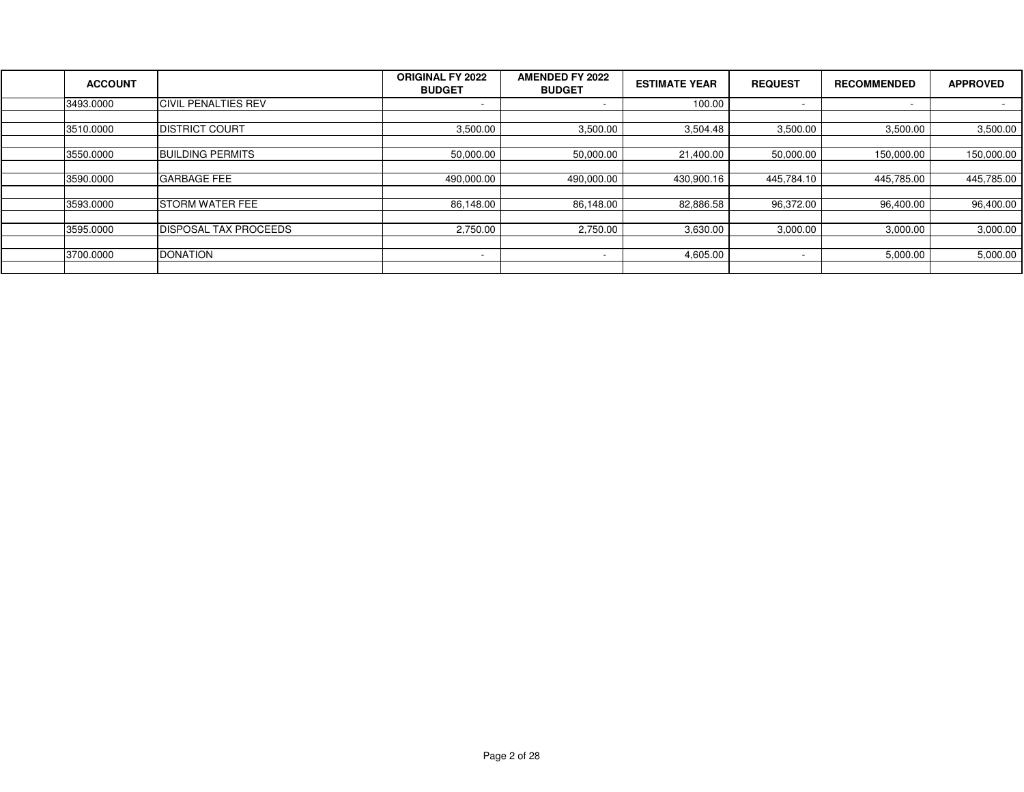| <b>ACCOUNT</b> |                               | <b>ORIGINAL FY 2022</b><br><b>BUDGET</b> | <b>AMENDED FY 2022</b><br><b>BUDGET</b> | <b>ESTIMATE YEAR</b> | <b>REQUEST</b>           | <b>RECOMMENDED</b> | <b>APPROVED</b>  |
|----------------|-------------------------------|------------------------------------------|-----------------------------------------|----------------------|--------------------------|--------------------|------------------|
| 3493.0000      | <b>CIVIL PENALTIES REV</b>    |                                          | $\overline{\phantom{a}}$                | 100.00               | $\overline{\phantom{a}}$ | . .                | $\sim$ 100 $\mu$ |
|                |                               |                                          |                                         |                      |                          |                    |                  |
| 3510.0000      | <b>IDISTRICT COURT</b>        | 3,500.00                                 | 3,500.00                                | 3,504.48             | 3,500.00                 | 3,500.00           | 3,500.00         |
|                |                               |                                          |                                         |                      |                          |                    |                  |
| 3550.0000      | <b>BUILDING PERMITS</b>       | 50,000.00                                | 50,000.00                               | 21,400.00            | 50,000.00                | 150,000.00         | 150,000.00       |
|                |                               |                                          |                                         |                      |                          |                    |                  |
| 3590.0000      | <b>GARBAGE FEE</b>            | 490,000.00                               | 490,000.00                              | 430.900.16           | 445,784.10               | 445,785.00         | 445,785.00       |
|                |                               |                                          |                                         |                      |                          |                    |                  |
| 3593.0000      | <b>ISTORM WATER FEE</b>       | 86,148.00                                | 86,148.00                               | 82,886.58            | 96,372.00                | 96,400.00          | 96,400.00        |
|                |                               |                                          |                                         |                      |                          |                    |                  |
| 3595.0000      | <b>IDISPOSAL TAX PROCEEDS</b> | 2,750.00                                 | 2,750.00                                | 3,630.00             | 3,000.00                 | 3,000.00           | 3,000.00         |
|                |                               |                                          |                                         |                      |                          |                    |                  |
| 3700.0000      | <b>DONATION</b>               |                                          | $\overline{\phantom{a}}$                | 4,605.00             |                          | 5,000.00           | 5,000.00         |
|                |                               |                                          |                                         |                      |                          |                    |                  |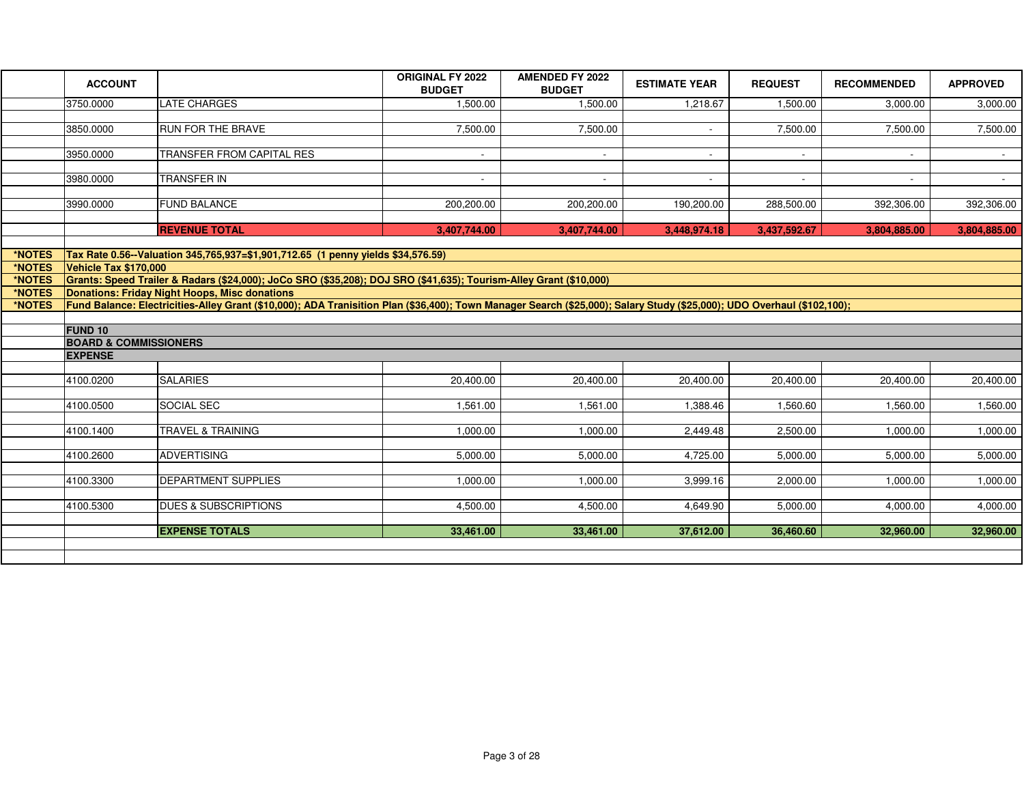|                  | <b>ACCOUNT</b>                                                                                                                                                          |                                                                                  | <b>ORIGINAL FY 2022</b><br><b>BUDGET</b> | <b>AMENDED FY 2022</b><br><b>BUDGET</b> | <b>ESTIMATE YEAR</b> | <b>REQUEST</b> | <b>RECOMMENDED</b> | <b>APPROVED</b> |  |  |
|------------------|-------------------------------------------------------------------------------------------------------------------------------------------------------------------------|----------------------------------------------------------------------------------|------------------------------------------|-----------------------------------------|----------------------|----------------|--------------------|-----------------|--|--|
|                  | 3750.0000                                                                                                                                                               | <b>LATE CHARGES</b>                                                              | 1,500.00                                 | 1,500.00                                | 1,218.67             | 1,500.00       | 3,000.00           | 3,000.00        |  |  |
|                  |                                                                                                                                                                         |                                                                                  |                                          |                                         |                      |                |                    |                 |  |  |
|                  | 3850.0000                                                                                                                                                               | RUN FOR THE BRAVE                                                                | 7,500.00                                 | 7,500.00                                | $\sim$               | 7,500.00       | 7,500.00           | 7,500.00        |  |  |
|                  |                                                                                                                                                                         |                                                                                  |                                          |                                         |                      |                |                    |                 |  |  |
|                  | 3950.0000                                                                                                                                                               | TRANSFER FROM CAPITAL RES                                                        | $\sim$                                   | $\sim$                                  | $\sim$               | $\sim$         | $\sim$             | $\sim$          |  |  |
|                  | 3980.0000                                                                                                                                                               | <b>TRANSFER IN</b>                                                               |                                          | $\sim$                                  |                      |                |                    | $\sim$          |  |  |
|                  |                                                                                                                                                                         |                                                                                  |                                          |                                         |                      |                |                    |                 |  |  |
|                  | 3990.0000                                                                                                                                                               | <b>FUND BALANCE</b>                                                              | 200,200.00                               | 200,200.00                              | 190,200.00           | 288,500.00     | 392,306.00         | 392,306.00      |  |  |
|                  |                                                                                                                                                                         |                                                                                  |                                          |                                         |                      |                |                    |                 |  |  |
|                  |                                                                                                                                                                         | <b>REVENUE TOTAL</b>                                                             | 3,407,744.00                             | 3,407,744.00                            | 3,448,974.18         | 3,437,592.67   | 3,804,885.00       | 3,804,885.00    |  |  |
|                  |                                                                                                                                                                         |                                                                                  |                                          |                                         |                      |                |                    |                 |  |  |
| *NOTES           |                                                                                                                                                                         | Tax Rate 0.56--Valuation 345,765,937=\$1,901,712.65 (1 penny yields \$34,576.59) |                                          |                                         |                      |                |                    |                 |  |  |
| *NOTES<br>*NOTES | Vehicle Tax \$170,000                                                                                                                                                   |                                                                                  |                                          |                                         |                      |                |                    |                 |  |  |
| *NOTES           | Grants: Speed Trailer & Radars (\$24,000); JoCo SRO (\$35,208); DOJ SRO (\$41,635); Tourism-Alley Grant (\$10,000)<br>Donations: Friday Night Hoops, Misc donations     |                                                                                  |                                          |                                         |                      |                |                    |                 |  |  |
| *NOTES           | Fund Balance: Electricities-Alley Grant (\$10,000); ADA Tranisition Plan (\$36,400); Town Manager Search (\$25,000); Salary Study (\$25,000); UDO Overhaul (\$102,100); |                                                                                  |                                          |                                         |                      |                |                    |                 |  |  |
|                  |                                                                                                                                                                         |                                                                                  |                                          |                                         |                      |                |                    |                 |  |  |
|                  | <b>FUND 10</b>                                                                                                                                                          |                                                                                  |                                          |                                         |                      |                |                    |                 |  |  |
|                  | <b>BOARD &amp; COMMISSIONERS</b>                                                                                                                                        |                                                                                  |                                          |                                         |                      |                |                    |                 |  |  |
|                  | <b>EXPENSE</b>                                                                                                                                                          |                                                                                  |                                          |                                         |                      |                |                    |                 |  |  |
|                  |                                                                                                                                                                         |                                                                                  |                                          |                                         |                      |                |                    |                 |  |  |
|                  | 4100.0200                                                                                                                                                               | <b>SALARIES</b>                                                                  | 20,400.00                                | 20,400.00                               | 20,400.00            | 20,400.00      | 20,400.00          | 20,400.00       |  |  |
|                  | 4100.0500                                                                                                                                                               | SOCIAL SEC                                                                       | 1,561.00                                 | 1,561.00                                | 1,388.46             | 1,560.60       | 1,560.00           | ,560.00         |  |  |
|                  |                                                                                                                                                                         |                                                                                  |                                          |                                         |                      |                |                    |                 |  |  |
|                  | 4100.1400                                                                                                                                                               | <b>TRAVEL &amp; TRAINING</b>                                                     | 1,000.00                                 | 1,000.00                                | 2,449.48             | 2,500.00       | 1,000.00           | 1,000.00        |  |  |
|                  |                                                                                                                                                                         |                                                                                  |                                          |                                         |                      |                |                    |                 |  |  |
|                  | 4100.2600                                                                                                                                                               | <b>ADVERTISING</b>                                                               | 5,000.00                                 | 5,000.00                                | 4,725.00             | 5,000.00       | 5,000.00           | 5,000.00        |  |  |
|                  |                                                                                                                                                                         |                                                                                  |                                          |                                         |                      |                |                    |                 |  |  |
|                  | 4100.3300                                                                                                                                                               | DEPARTMENT SUPPLIES                                                              | 1,000.00                                 | 1,000.00                                | 3,999.16             | 2,000.00       | 1,000.00           | 1,000.00        |  |  |
|                  |                                                                                                                                                                         |                                                                                  |                                          |                                         |                      |                |                    |                 |  |  |
|                  | 4100.5300                                                                                                                                                               | <b>DUES &amp; SUBSCRIPTIONS</b>                                                  | 4,500.00                                 | 4,500.00                                | 4,649.90             | 5,000.00       | 4,000.00           | 4,000.00        |  |  |
|                  |                                                                                                                                                                         | <b>EXPENSE TOTALS</b>                                                            |                                          |                                         |                      |                | 32,960.00          | 32,960.00       |  |  |
|                  |                                                                                                                                                                         |                                                                                  |                                          |                                         |                      |                |                    |                 |  |  |
|                  |                                                                                                                                                                         |                                                                                  |                                          |                                         |                      |                |                    |                 |  |  |
|                  |                                                                                                                                                                         |                                                                                  | 33,461.00                                | 33,461.00                               | 37,612.00            | 36,460.60      |                    |                 |  |  |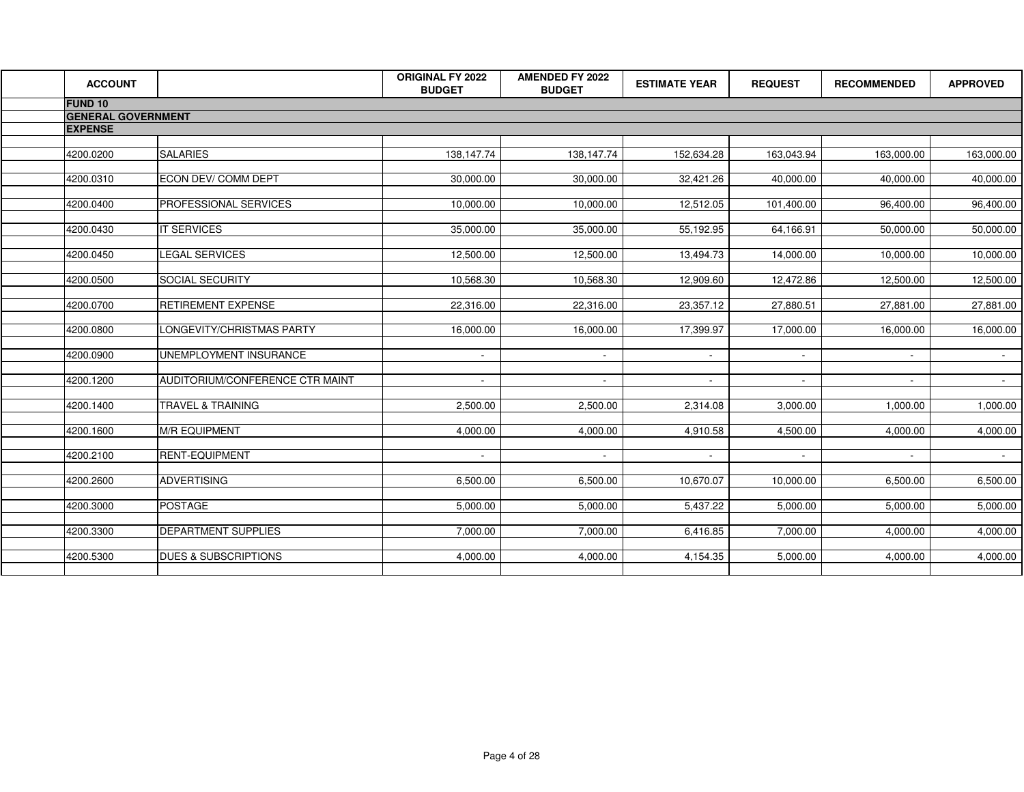| <b>ACCOUNT</b>            |                                 | ORIGINAL FY 2022<br><b>BUDGET</b> | <b>AMENDED FY 2022</b><br><b>BUDGET</b> | <b>ESTIMATE YEAR</b> | <b>REQUEST</b> | <b>RECOMMENDED</b> | <b>APPROVED</b> |
|---------------------------|---------------------------------|-----------------------------------|-----------------------------------------|----------------------|----------------|--------------------|-----------------|
| <b>FUND 10</b>            |                                 |                                   |                                         |                      |                |                    |                 |
| <b>GENERAL GOVERNMENT</b> |                                 |                                   |                                         |                      |                |                    |                 |
| <b>EXPENSE</b>            |                                 |                                   |                                         |                      |                |                    |                 |
|                           |                                 |                                   |                                         |                      |                |                    |                 |
| 4200.0200                 | <b>SALARIES</b>                 | 138,147.74                        | 138,147.74                              | 152,634.28           | 163,043.94     | 163,000.00         | 163,000.00      |
|                           |                                 |                                   |                                         |                      |                |                    |                 |
| 4200.0310                 | ECON DEV/ COMM DEPT             | 30,000.00                         | 30,000.00                               | 32,421.26            | 40,000.00      | 40,000.00          | 40,000.00       |
| 4200.0400                 | PROFESSIONAL SERVICES           | 10,000.00                         | 10,000.00                               | 12,512.05            | 101,400.00     | 96,400.00          | 96,400.00       |
|                           |                                 |                                   |                                         |                      |                |                    |                 |
| 4200.0430                 | <b>IT SERVICES</b>              | 35,000.00                         | 35,000.00                               | 55,192.95            | 64,166.91      | 50,000.00          | 50,000.00       |
|                           |                                 |                                   |                                         |                      |                |                    |                 |
| 4200.0450                 | LEGAL SERVICES                  | 12,500.00                         | 12,500.00                               | 13,494.73            | 14,000.00      | 10,000.00          | 10,000.00       |
|                           |                                 |                                   |                                         |                      |                |                    |                 |
| 4200.0500                 | SOCIAL SECURITY                 | 10,568.30                         | 10,568.30                               | 12,909.60            | 12,472.86      | 12,500.00          | 12,500.00       |
| 4200.0700                 | <b>RETIREMENT EXPENSE</b>       | 22,316.00                         | 22,316.00                               | 23,357.12            | 27,880.51      | 27,881.00          | 27,881.00       |
|                           |                                 |                                   |                                         |                      |                |                    |                 |
| 4200.0800                 | LONGEVITY/CHRISTMAS PARTY       | 16,000.00                         | 16,000.00                               | 17,399.97            | 17,000.00      | 16,000.00          | 16,000.00       |
|                           |                                 |                                   |                                         |                      |                |                    |                 |
| 4200.0900                 | UNEMPLOYMENT INSURANCE          | $\sim$                            | $\sim$                                  | $\sim$               | $\sim$         | $\sim$             | $\sim 100$      |
|                           |                                 |                                   |                                         |                      |                |                    |                 |
| 4200.1200                 | AUDITORIUM/CONFERENCE CTR MAINT | $\sim$                            | $\sim$                                  | $\sim$               | $\sim$         | $\sim$             | $\sim$ $-$      |
| 4200.1400                 | TRAVEL & TRAINING               | 2,500.00                          | 2,500.00                                | 2,314.08             | 3,000.00       | 1,000.00           | 1,000.00        |
|                           |                                 |                                   |                                         |                      |                |                    |                 |
| 4200.1600                 | <b>M/R EQUIPMENT</b>            | 4,000.00                          | 4,000.00                                | 4,910.58             | 4,500.00       | 4,000.00           | 4,000.00        |
|                           |                                 |                                   |                                         |                      |                |                    |                 |
| 4200.2100                 | <b>RENT-EQUIPMENT</b>           | $\sim$                            | $\sim$                                  | $\sim$               | $\sim$         |                    | $\sim 100$      |
|                           |                                 |                                   |                                         |                      |                |                    |                 |
| 4200.2600                 | <b>ADVERTISING</b>              | 6,500.00                          | 6,500.00                                | 10,670.07            | 10,000.00      | 6,500.00           | 6,500.00        |
| 4200.3000                 | <b>POSTAGE</b>                  | 5,000.00                          | 5,000.00                                | 5,437.22             | 5,000.00       | 5,000.00           | 5,000.00        |
|                           |                                 |                                   |                                         |                      |                |                    |                 |
| 4200.3300                 | DEPARTMENT SUPPLIES             | 7,000.00                          | 7,000.00                                | 6,416.85             | 7,000.00       | 4,000.00           | 4,000.00        |
|                           |                                 |                                   |                                         |                      |                |                    |                 |
| 4200.5300                 | <b>DUES &amp; SUBSCRIPTIONS</b> | 4,000.00                          | 4,000.00                                | 4,154.35             | 5,000.00       | 4,000.00           | 4,000.00        |
|                           |                                 |                                   |                                         |                      |                |                    |                 |
|                           |                                 |                                   |                                         |                      |                |                    |                 |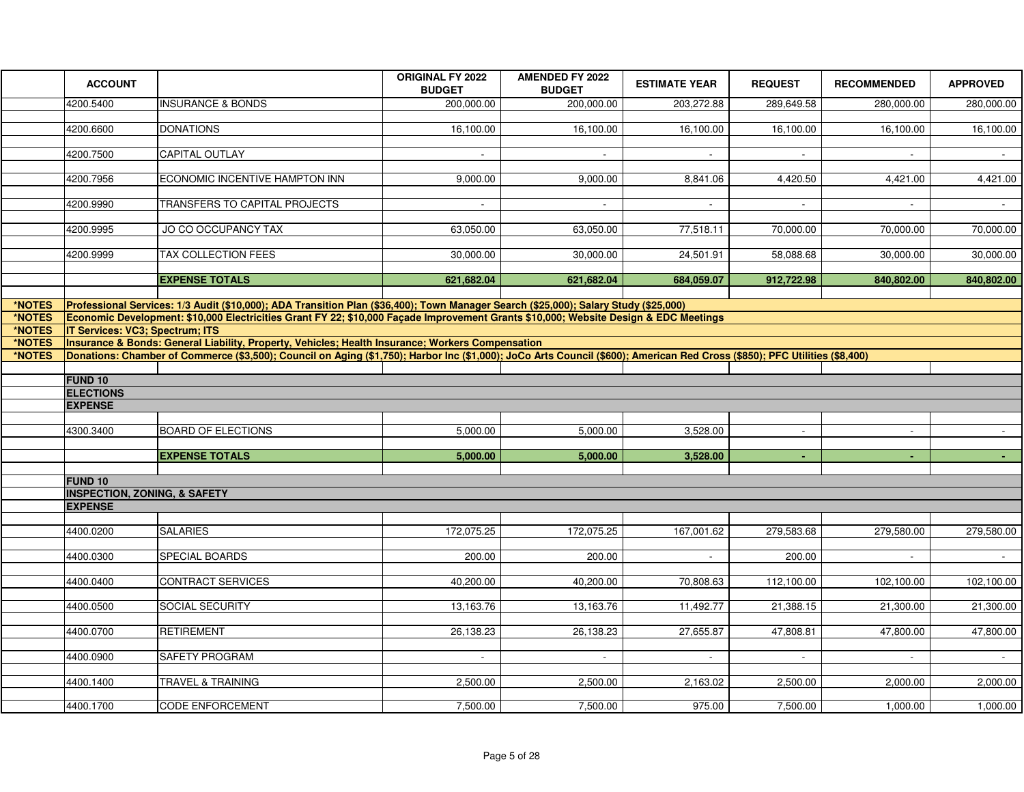|        | <b>ACCOUNT</b>                                                                                                                                                                 |                                                                                                                                                                            | <b>ORIGINAL FY 2022</b><br><b>BUDGET</b> | <b>AMENDED FY 2022</b><br><b>BUDGET</b> | <b>ESTIMATE YEAR</b> | <b>REQUEST</b> | <b>RECOMMENDED</b> | <b>APPROVED</b> |  |  |
|--------|--------------------------------------------------------------------------------------------------------------------------------------------------------------------------------|----------------------------------------------------------------------------------------------------------------------------------------------------------------------------|------------------------------------------|-----------------------------------------|----------------------|----------------|--------------------|-----------------|--|--|
|        | 4200.5400                                                                                                                                                                      | <b>INSURANCE &amp; BONDS</b>                                                                                                                                               | 200,000.00                               | 200,000.00                              | 203,272.88           | 289,649.58     | 280,000.00         | 280,000.00      |  |  |
|        | 4200.6600                                                                                                                                                                      | <b>DONATIONS</b>                                                                                                                                                           |                                          |                                         |                      |                |                    |                 |  |  |
|        |                                                                                                                                                                                |                                                                                                                                                                            | 16,100.00                                | 16,100.00                               | 16,100.00            | 16,100.00      | 16,100.00          | 16,100.00       |  |  |
|        | 4200.7500                                                                                                                                                                      | <b>CAPITAL OUTLAY</b>                                                                                                                                                      | $\sim$                                   |                                         |                      |                |                    |                 |  |  |
|        |                                                                                                                                                                                |                                                                                                                                                                            |                                          |                                         |                      |                |                    |                 |  |  |
|        | 4200.7956                                                                                                                                                                      | ECONOMIC INCENTIVE HAMPTON INN                                                                                                                                             | 9,000.00                                 | 9,000.00                                | 8,841.06             | 4,420.50       | 4,421.00           | 4,421.00        |  |  |
|        | 4200.9990                                                                                                                                                                      | TRANSFERS TO CAPITAL PROJECTS                                                                                                                                              | $\sim$                                   | $\sim$                                  | $\sim$               | $\sim$         | $\sim$             | $\sim$          |  |  |
|        |                                                                                                                                                                                |                                                                                                                                                                            |                                          |                                         |                      |                |                    |                 |  |  |
|        | 4200.9995                                                                                                                                                                      | JO CO OCCUPANCY TAX                                                                                                                                                        | 63,050.00                                | 63,050.00                               | 77,518.11            | 70,000.00      | 70,000.00          | 70,000.00       |  |  |
|        | 4200.9999                                                                                                                                                                      | TAX COLLECTION FEES                                                                                                                                                        | 30,000.00                                | 30,000.00                               | 24,501.91            | 58,088.68      | 30,000.00          | 30,000.00       |  |  |
|        |                                                                                                                                                                                |                                                                                                                                                                            |                                          |                                         |                      |                |                    |                 |  |  |
|        |                                                                                                                                                                                | <b>EXPENSE TOTALS</b>                                                                                                                                                      | 621,682.04                               | 621,682.04                              | 684,059.07           | 912,722.98     | 840,802.00         | 840,802.00      |  |  |
| *NOTES |                                                                                                                                                                                | Professional Services: 1/3 Audit (\$10,000); ADA Transition Plan (\$36,400); Town Manager Search (\$25,000); Salary Study (\$25,000)                                       |                                          |                                         |                      |                |                    |                 |  |  |
| *NOTES | Economic Development: \$10,000 Electricities Grant FY 22; \$10,000 Facade Improvement Grants \$10,000; Website Design & EDC Meetings<br><b>IT Services: VC3; Spectrum; ITS</b> |                                                                                                                                                                            |                                          |                                         |                      |                |                    |                 |  |  |
| *NOTES |                                                                                                                                                                                |                                                                                                                                                                            |                                          |                                         |                      |                |                    |                 |  |  |
| *NOTES |                                                                                                                                                                                | Insurance & Bonds: General Liability, Property, Vehicles; Health Insurance; Workers Compensation                                                                           |                                          |                                         |                      |                |                    |                 |  |  |
| *NOTES |                                                                                                                                                                                | Donations: Chamber of Commerce (\$3,500); Council on Aging (\$1,750); Harbor Inc (\$1,000); JoCo Arts Council (\$600); American Red Cross (\$850); PFC Utilities (\$8,400) |                                          |                                         |                      |                |                    |                 |  |  |
|        | <b>FUND 10</b>                                                                                                                                                                 |                                                                                                                                                                            |                                          |                                         |                      |                |                    |                 |  |  |
|        | <b>ELECTIONS</b>                                                                                                                                                               |                                                                                                                                                                            |                                          |                                         |                      |                |                    |                 |  |  |
|        | <b>EXPENSE</b>                                                                                                                                                                 |                                                                                                                                                                            |                                          |                                         |                      |                |                    |                 |  |  |
|        | 4300.3400                                                                                                                                                                      | <b>BOARD OF ELECTIONS</b>                                                                                                                                                  | 5,000.00                                 | 5,000.00                                | 3,528.00             | $\blacksquare$ | $\sim$             |                 |  |  |
|        |                                                                                                                                                                                |                                                                                                                                                                            |                                          |                                         |                      |                |                    |                 |  |  |
|        |                                                                                                                                                                                | <b>EXPENSE TOTALS</b>                                                                                                                                                      | 5,000.00                                 | 5,000.00                                | 3,528.00             | $\sim$         | $\sim$             | $\sim$          |  |  |
|        | <b>FUND 10</b>                                                                                                                                                                 |                                                                                                                                                                            |                                          |                                         |                      |                |                    |                 |  |  |
|        | <b>INSPECTION, ZONING, &amp; SAFETY</b>                                                                                                                                        |                                                                                                                                                                            |                                          |                                         |                      |                |                    |                 |  |  |
|        | <b>EXPENSE</b>                                                                                                                                                                 |                                                                                                                                                                            |                                          |                                         |                      |                |                    |                 |  |  |
|        |                                                                                                                                                                                |                                                                                                                                                                            |                                          |                                         |                      |                |                    |                 |  |  |
|        | 4400.0200                                                                                                                                                                      | <b>SALARIES</b>                                                                                                                                                            | 172,075.25                               | 172,075.25                              | 167,001.62           | 279,583.68     | 279,580.00         | 279,580.00      |  |  |
|        | 4400.0300                                                                                                                                                                      | SPECIAL BOARDS                                                                                                                                                             | 200.00                                   | 200.00                                  | $\omega$             | 200.00         |                    | $\sim$          |  |  |
|        |                                                                                                                                                                                |                                                                                                                                                                            |                                          |                                         |                      |                |                    |                 |  |  |
|        | 4400.0400                                                                                                                                                                      | CONTRACT SERVICES                                                                                                                                                          | 40,200.00                                | 40,200.00                               | 70,808.63            | 112,100.00     | 102,100.00         | 102,100.00      |  |  |
|        | 4400.0500                                                                                                                                                                      | SOCIAL SECURITY                                                                                                                                                            | 13,163.76                                | 13,163.76                               | 11,492.77            | 21,388.15      | 21,300.00          | 21,300.00       |  |  |
|        |                                                                                                                                                                                |                                                                                                                                                                            |                                          |                                         |                      |                |                    |                 |  |  |
|        | 4400.0700                                                                                                                                                                      | <b>RETIREMENT</b>                                                                                                                                                          | 26,138.23                                | 26,138.23                               | 27,655.87            | 47,808.81      | 47,800.00          | 47,800.00       |  |  |
|        |                                                                                                                                                                                |                                                                                                                                                                            |                                          |                                         |                      |                |                    |                 |  |  |
|        | 4400.0900                                                                                                                                                                      | SAFETY PROGRAM                                                                                                                                                             | $\omega$                                 | $\mathcal{L}_{\mathcal{A}}$             |                      |                |                    |                 |  |  |
|        | 4400.1400                                                                                                                                                                      | <b>TRAVEL &amp; TRAINING</b>                                                                                                                                               | 2,500.00                                 | 2,500.00                                | 2,163.02             | 2,500.00       | 2,000.00           | 2,000.00        |  |  |
|        |                                                                                                                                                                                |                                                                                                                                                                            |                                          |                                         |                      |                |                    |                 |  |  |
|        | 4400.1700                                                                                                                                                                      | <b>CODE ENFORCEMENT</b>                                                                                                                                                    | 7,500.00                                 | 7,500.00                                | 975.00               | 7,500.00       | 1,000.00           | 1,000.00        |  |  |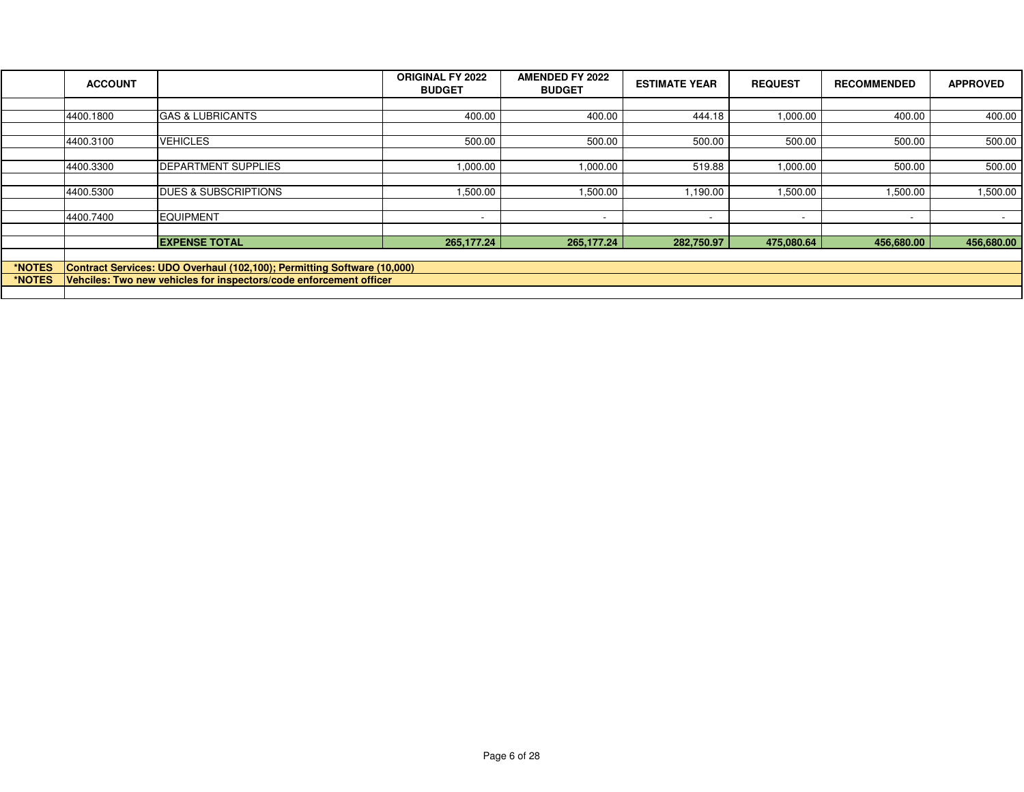|        | <b>ACCOUNT</b>                                                          |                                 | <b>ORIGINAL FY 2022</b><br><b>BUDGET</b> | <b>AMENDED FY 2022</b><br><b>BUDGET</b> | <b>ESTIMATE YEAR</b>     | <b>REQUEST</b> | <b>RECOMMENDED</b>       | <b>APPROVED</b> |  |
|--------|-------------------------------------------------------------------------|---------------------------------|------------------------------------------|-----------------------------------------|--------------------------|----------------|--------------------------|-----------------|--|
|        |                                                                         |                                 |                                          |                                         |                          |                |                          |                 |  |
|        | 4400.1800                                                               | <b>GAS &amp; LUBRICANTS</b>     | 400.00                                   | 400.00                                  | 444.18                   | 1,000.00       | 400.00                   | 400.00          |  |
|        |                                                                         |                                 |                                          |                                         |                          |                |                          |                 |  |
|        | 4400.3100                                                               | <b>VEHICLES</b>                 | 500.00                                   | 500.00                                  | 500.00                   | 500.00         | 500.00                   | 500.00          |  |
|        |                                                                         |                                 |                                          |                                         |                          |                |                          |                 |  |
|        | 4400.3300                                                               | <b>IDEPARTMENT SUPPLIES</b>     | 1,000.00                                 | 1,000.00                                | 519.88                   | 1,000.00       | 500.00                   | 500.00          |  |
|        |                                                                         |                                 |                                          |                                         |                          |                |                          |                 |  |
|        | 4400.5300                                                               | <b>DUES &amp; SUBSCRIPTIONS</b> | 1,500.00                                 | 1,500.00                                | 1,190.00                 | 1,500.00       | 1,500.00                 | 1,500.00        |  |
|        |                                                                         |                                 |                                          |                                         |                          |                |                          |                 |  |
|        | 4400.7400                                                               | <b>EQUIPMENT</b>                | $\overline{\phantom{a}}$                 | $\overline{\phantom{a}}$                | $\overline{\phantom{a}}$ |                | $\overline{\phantom{a}}$ | $\sim$          |  |
|        |                                                                         |                                 |                                          |                                         |                          |                |                          |                 |  |
|        |                                                                         | <b>EXPENSE TOTAL</b>            | 265,177.24                               | 265,177.24                              | 282,750.97               | 475,080.64     | 456,680.00               | 456,680.00      |  |
|        |                                                                         |                                 |                                          |                                         |                          |                |                          |                 |  |
| *NOTES | Contract Services: UDO Overhaul (102,100); Permitting Software (10,000) |                                 |                                          |                                         |                          |                |                          |                 |  |
| *NOTES | Vehciles: Two new vehicles for inspectors/code enforcement officer      |                                 |                                          |                                         |                          |                |                          |                 |  |
|        |                                                                         |                                 |                                          |                                         |                          |                |                          |                 |  |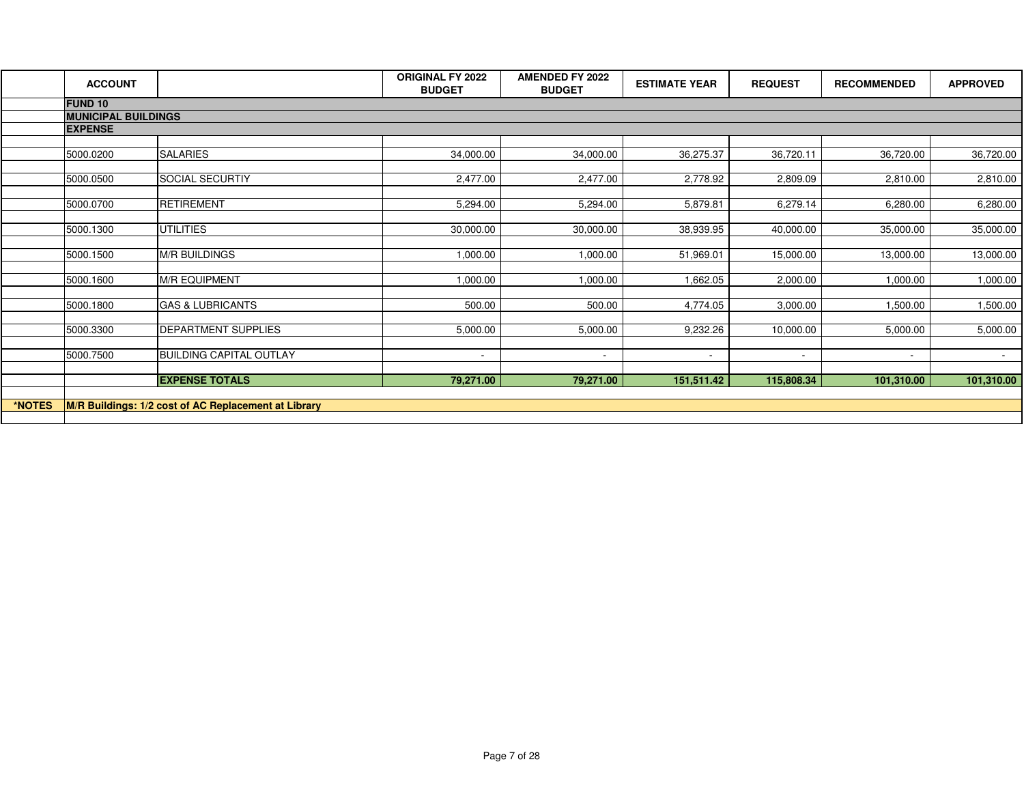|        | <b>ACCOUNT</b>             |                                                      | <b>ORIGINAL FY 2022</b><br><b>BUDGET</b> | <b>AMENDED FY 2022</b><br><b>BUDGET</b> | <b>ESTIMATE YEAR</b>     | <b>REQUEST</b>           | <b>RECOMMENDED</b>       | <b>APPROVED</b> |
|--------|----------------------------|------------------------------------------------------|------------------------------------------|-----------------------------------------|--------------------------|--------------------------|--------------------------|-----------------|
|        | <b>FUND 10</b>             |                                                      |                                          |                                         |                          |                          |                          |                 |
|        | <b>MUNICIPAL BUILDINGS</b> |                                                      |                                          |                                         |                          |                          |                          |                 |
|        | <b>EXPENSE</b>             |                                                      |                                          |                                         |                          |                          |                          |                 |
|        | 5000.0200                  | <b>SALARIES</b>                                      | 34,000.00                                | 34,000.00                               | 36,275.37                | 36,720.11                | 36,720.00                | 36,720.00       |
|        |                            |                                                      |                                          |                                         |                          |                          |                          |                 |
|        | 5000.0500                  | SOCIAL SECURTIY                                      | 2,477.00                                 | 2,477.00                                | 2,778.92                 | 2,809.09                 | 2,810.00                 | 2,810.00        |
|        | 5000.0700                  | <b>RETIREMENT</b>                                    | 5,294.00                                 | 5,294.00                                | 5,879.81                 | 6,279.14                 | 6,280.00                 | 6,280.00        |
|        |                            |                                                      |                                          |                                         |                          |                          |                          |                 |
|        | 5000.1300                  | <b>UTILITIES</b>                                     | 30,000.00                                | 30,000.00                               | 38,939.95                | 40,000.00                | 35,000.00                | 35,000.00       |
|        | 5000.1500                  | <b>M/R BUILDINGS</b>                                 | 1,000.00                                 | 1,000.00                                | 51,969.01                | 15,000.00                | 13,000.00                | 13,000.00       |
|        |                            |                                                      |                                          |                                         |                          |                          |                          |                 |
|        | 5000.1600                  | <b>M/R EQUIPMENT</b>                                 | 1,000.00                                 | 1,000.00                                | 1,662.05                 | 2,000.00                 | 1,000.00                 | 1,000.00        |
|        | 5000.1800                  | <b>GAS &amp; LUBRICANTS</b>                          | 500.00                                   | 500.00                                  | 4,774.05                 | 3,000.00                 | 1,500.00                 | 1,500.00        |
|        |                            |                                                      |                                          |                                         |                          |                          |                          |                 |
|        | 5000.3300                  | DEPARTMENT SUPPLIES                                  | 5,000.00                                 | 5,000.00                                | 9,232.26                 | 10,000.00                | 5,000.00                 | 5,000.00        |
|        | 5000.7500                  | <b>BUILDING CAPITAL OUTLAY</b>                       | $\sim$                                   | $\sim$                                  | $\overline{\phantom{a}}$ | $\overline{\phantom{a}}$ | $\overline{\phantom{a}}$ |                 |
|        |                            |                                                      |                                          |                                         |                          |                          |                          |                 |
|        |                            | <b>EXPENSE TOTALS</b>                                | 79,271.00                                | 79,271.00                               | 151,511.42               | 115,808.34               | 101,310.00               | 101,310.00      |
| *NOTES |                            |                                                      |                                          |                                         |                          |                          |                          |                 |
|        |                            | M/R Buildings: 1/2 cost of AC Replacement at Library |                                          |                                         |                          |                          |                          |                 |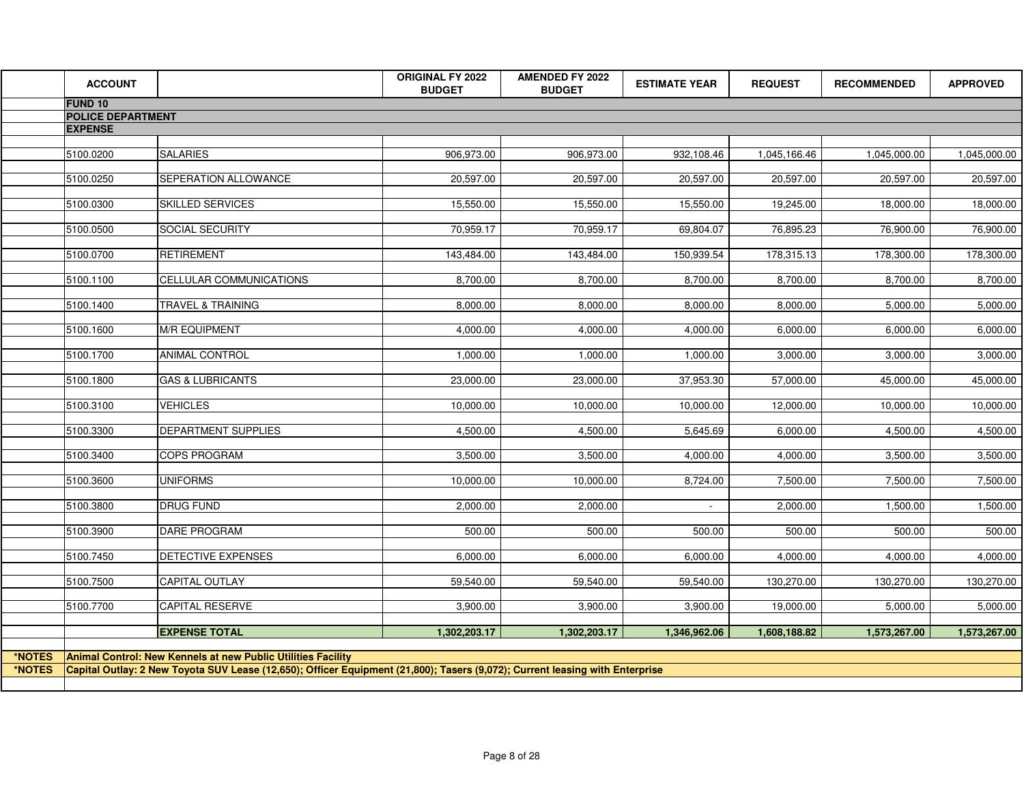|        | <b>ACCOUNT</b>           |                                                                                                                              | ORIGINAL FY 2022<br><b>BUDGET</b> | <b>AMENDED FY 2022</b><br><b>BUDGET</b> | <b>ESTIMATE YEAR</b> | <b>REQUEST</b> | <b>RECOMMENDED</b> | <b>APPROVED</b> |
|--------|--------------------------|------------------------------------------------------------------------------------------------------------------------------|-----------------------------------|-----------------------------------------|----------------------|----------------|--------------------|-----------------|
|        | <b>FUND 10</b>           |                                                                                                                              |                                   |                                         |                      |                |                    |                 |
|        | <b>POLICE DEPARTMENT</b> |                                                                                                                              |                                   |                                         |                      |                |                    |                 |
|        | <b>EXPENSE</b>           |                                                                                                                              |                                   |                                         |                      |                |                    |                 |
|        | 5100.0200                | <b>SALARIES</b>                                                                                                              | 906,973.00                        | 906,973.00                              | 932,108.46           | 1,045,166.46   | 1,045,000.00       | 1,045,000.00    |
|        | 5100.0250                | SEPERATION ALLOWANCE                                                                                                         | 20,597.00                         | 20,597.00                               | 20,597.00            | 20,597.00      | 20,597.00          | 20,597.00       |
|        | 5100.0300                | <b>SKILLED SERVICES</b>                                                                                                      | 15,550.00                         | 15,550.00                               | 15,550.00            | 19,245.00      | 18,000.00          | 18,000.00       |
|        | 5100.0500                | SOCIAL SECURITY                                                                                                              | 70,959.17                         | 70,959.17                               | 69,804.07            | 76,895.23      | 76,900.00          | 76,900.00       |
|        | 5100.0700                | <b>RETIREMENT</b>                                                                                                            | 143,484.00                        | 143,484.00                              | 150,939.54           | 178,315.13     | 178,300.00         | 178,300.00      |
|        | 5100.1100                | CELLULAR COMMUNICATIONS                                                                                                      | 8,700.00                          | 8,700.00                                | 8,700.00             | 8,700.00       | 8,700.00           | 8,700.00        |
|        | 5100.1400                | <b>TRAVEL &amp; TRAINING</b>                                                                                                 | 8,000.00                          | 8,000.00                                | 8,000.00             | 8,000.00       | 5,000.00           | 5,000.00        |
|        | 5100.1600                | <b>M/R EQUIPMENT</b>                                                                                                         | 4,000.00                          | 4,000.00                                | 4,000.00             | 6,000.00       | 6,000.00           | 6,000.00        |
|        | 5100.1700                | <b>ANIMAL CONTROL</b>                                                                                                        | 1,000.00                          | 1,000.00                                | 1,000.00             | 3,000.00       | 3,000.00           | 3,000.00        |
|        | 5100.1800                | <b>GAS &amp; LUBRICANTS</b>                                                                                                  | 23,000.00                         | 23,000.00                               | 37,953.30            | 57,000.00      | 45,000.00          | 45,000.00       |
|        | 5100.3100                | <b>VEHICLES</b>                                                                                                              | 10,000.00                         | 10,000.00                               | 10,000.00            | 12,000.00      | 10,000.00          | 10,000.00       |
|        | 5100.3300                | DEPARTMENT SUPPLIES                                                                                                          | 4,500.00                          | 4,500.00                                | 5,645.69             | 6,000.00       | 4,500.00           | 4,500.00        |
|        | 5100.3400                | <b>COPS PROGRAM</b>                                                                                                          | 3,500.00                          | 3,500.00                                | 4,000.00             | 4,000.00       | 3,500.00           | 3,500.00        |
|        | 5100.3600                | <b>UNIFORMS</b>                                                                                                              | 10,000.00                         | 10,000.00                               | 8,724.00             | 7,500.00       | 7,500.00           | 7,500.00        |
|        | 5100.3800                | <b>DRUG FUND</b>                                                                                                             | 2,000.00                          | 2,000.00                                | $\sim$               | 2,000.00       | 1,500.00           | 1,500.00        |
|        | 5100.3900                | <b>DARE PROGRAM</b>                                                                                                          | 500.00                            | 500.00                                  | 500.00               | 500.00         | 500.00             | 500.00          |
|        | 5100.7450                | DETECTIVE EXPENSES                                                                                                           | 6,000.00                          | 6,000.00                                | 6,000.00             | 4,000.00       | 4,000.00           | 4,000.00        |
|        | 5100.7500                | <b>CAPITAL OUTLAY</b>                                                                                                        | 59,540.00                         | 59,540.00                               | 59,540.00            | 130,270.00     | 130,270.00         | 130,270.00      |
|        | 5100.7700                | CAPITAL RESERVE                                                                                                              | 3,900.00                          | 3,900.00                                | 3,900.00             | 19,000.00      | 5,000.00           | 5,000.00        |
|        |                          | <b>EXPENSE TOTAL</b>                                                                                                         | 1,302,203.17                      | 1,302,203.17                            | 1,346,962.06         | 1,608,188.82   | 1,573,267.00       | 1,573,267.00    |
| *NOTES |                          | Animal Control: New Kennels at new Public Utilities Facility                                                                 |                                   |                                         |                      |                |                    |                 |
| *NOTES |                          | Capital Outlay: 2 New Toyota SUV Lease (12,650); Officer Equipment (21,800); Tasers (9,072); Current leasing with Enterprise |                                   |                                         |                      |                |                    |                 |
|        |                          |                                                                                                                              |                                   |                                         |                      |                |                    |                 |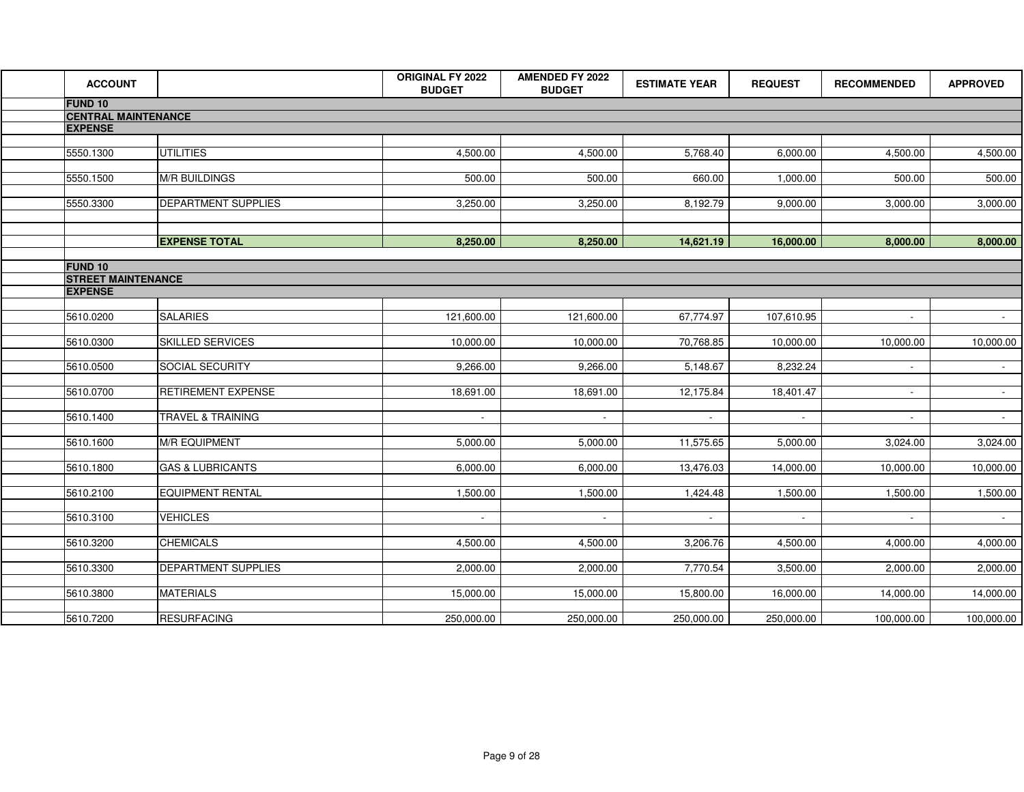| <b>ACCOUNT</b>             |                              | <b>ORIGINAL FY 2022</b><br><b>BUDGET</b> | <b>AMENDED FY 2022</b><br><b>BUDGET</b> | <b>ESTIMATE YEAR</b> | <b>REQUEST</b>           | <b>RECOMMENDED</b> | <b>APPROVED</b>     |
|----------------------------|------------------------------|------------------------------------------|-----------------------------------------|----------------------|--------------------------|--------------------|---------------------|
| <b>FUND 10</b>             |                              |                                          |                                         |                      |                          |                    |                     |
| <b>CENTRAL MAINTENANCE</b> |                              |                                          |                                         |                      |                          |                    |                     |
| <b>EXPENSE</b>             |                              |                                          |                                         |                      |                          |                    |                     |
|                            |                              |                                          |                                         |                      |                          |                    |                     |
| 5550.1300                  | <b>UTILITIES</b>             | 4,500.00                                 | 4,500.00                                | 5,768.40             | 6,000.00                 | 4,500.00           | 4,500.00            |
|                            |                              |                                          |                                         |                      |                          |                    |                     |
| 5550.1500                  | <b>M/R BUILDINGS</b>         | 500.00                                   | 500.00                                  | 660.00               | 1,000.00                 | 500.00             | 500.00              |
| 5550.3300                  | DEPARTMENT SUPPLIES          | 3,250.00                                 | 3,250.00                                | 8,192.79             | 9,000.00                 | 3,000.00           | 3,000.00            |
|                            |                              |                                          |                                         |                      |                          |                    |                     |
|                            |                              |                                          |                                         |                      |                          |                    |                     |
|                            | <b>EXPENSE TOTAL</b>         | 8,250.00                                 | 8,250.00                                | 14,621.19            | 16,000.00                | 8,000.00           | 8,000.00            |
|                            |                              |                                          |                                         |                      |                          |                    |                     |
| <b>FUND 10</b>             |                              |                                          |                                         |                      |                          |                    |                     |
| <b>STREET MAINTENANCE</b>  |                              |                                          |                                         |                      |                          |                    |                     |
| <b>EXPENSE</b>             |                              |                                          |                                         |                      |                          |                    |                     |
|                            |                              |                                          |                                         |                      |                          |                    |                     |
| 5610.0200                  | <b>SALARIES</b>              | 121,600.00                               | 121,600.00                              | 67,774.97            | 107,610.95               | $\sim$             | $\sigma_{\rm{max}}$ |
| 5610.0300                  | <b>SKILLED SERVICES</b>      | 10,000.00                                | 10,000.00                               | 70,768.85            | 10,000.00                | 10,000.00          | 10,000.00           |
|                            |                              |                                          |                                         |                      |                          |                    |                     |
| 5610.0500                  | <b>SOCIAL SECURITY</b>       | 9,266.00                                 | 9,266.00                                | 5,148.67             | 8,232.24                 |                    | $\sim$ 10 $\pm$     |
|                            |                              |                                          |                                         |                      |                          |                    |                     |
| 5610.0700                  | <b>RETIREMENT EXPENSE</b>    | 18,691.00                                | 18,691.00                               | 12,175.84            | 18,401.47                | $\sim$             | $\sim 10^{-1}$      |
|                            |                              |                                          |                                         |                      |                          |                    |                     |
| 5610.1400                  | <b>TRAVEL &amp; TRAINING</b> |                                          |                                         |                      |                          |                    | $\sim$              |
|                            |                              |                                          |                                         |                      |                          |                    |                     |
| 5610.1600                  | <b>M/R EQUIPMENT</b>         | 5,000.00                                 | 5,000.00                                | 11,575.65            | 5,000.00                 | 3,024.00           | 3,024.00            |
|                            |                              |                                          |                                         |                      |                          |                    |                     |
| 5610.1800                  | <b>GAS &amp; LUBRICANTS</b>  | 6,000.00                                 | 6,000.00                                | 13,476.03            | 14,000.00                | 10,000.00          | 10,000.00           |
| 5610.2100                  | <b>EQUIPMENT RENTAL</b>      | 1,500.00                                 | 1,500.00                                | 1,424.48             | 1,500.00                 | 1,500.00           | 1,500.00            |
|                            |                              |                                          |                                         |                      |                          |                    |                     |
| 5610.3100                  | <b>VEHICLES</b>              | $\sim$                                   | $\sim$                                  | $\sim$               | $\overline{\phantom{a}}$ | $\sim$             | $\sim$              |
|                            |                              |                                          |                                         |                      |                          |                    |                     |
| 5610.3200                  | <b>CHEMICALS</b>             | 4,500.00                                 | 4,500.00                                | 3,206.76             | 4,500.00                 | 4,000.00           | 4,000.00            |
|                            |                              |                                          |                                         |                      |                          |                    |                     |
| 5610.3300                  | <b>DEPARTMENT SUPPLIES</b>   | 2,000.00                                 | 2,000.00                                | 7,770.54             | 3,500.00                 | 2,000.00           | 2,000.00            |
|                            |                              |                                          |                                         |                      |                          |                    |                     |
| 5610.3800                  | <b>MATERIALS</b>             | 15,000.00                                | 15,000.00                               | 15,800.00            | 16,000.00                | 14,000.00          | 14,000.00           |
|                            |                              |                                          |                                         |                      |                          |                    |                     |
| 5610.7200                  | <b>RESURFACING</b>           | 250,000.00                               | 250,000.00                              | 250,000.00           | 250,000.00               | 100,000.00         | 100,000.00          |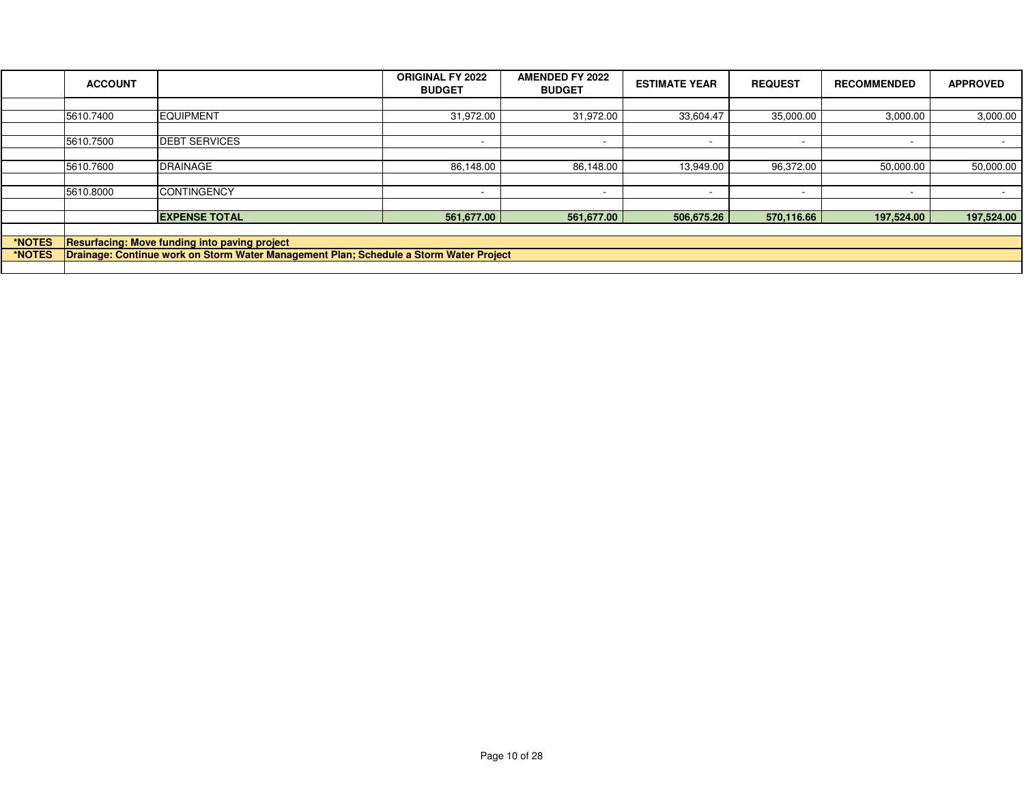|        | <b>ACCOUNT</b>                                                                         |                       | <b>ORIGINAL FY 2022</b><br><b>BUDGET</b> | <b>AMENDED FY 2022</b><br><b>BUDGET</b> | <b>ESTIMATE YEAR</b>     | <b>REQUEST</b>           | <b>RECOMMENDED</b> | <b>APPROVED</b>          |
|--------|----------------------------------------------------------------------------------------|-----------------------|------------------------------------------|-----------------------------------------|--------------------------|--------------------------|--------------------|--------------------------|
|        |                                                                                        |                       |                                          |                                         |                          |                          |                    |                          |
|        | 5610.7400                                                                              | <b>EQUIPMENT</b>      | 31,972.00                                | 31,972.00                               | 33,604.47                | 35,000.00                | 3,000.00           | 3,000.00                 |
|        |                                                                                        |                       |                                          |                                         |                          |                          |                    |                          |
|        | 5610.7500                                                                              | <b>IDEBT SERVICES</b> |                                          | $\overline{\phantom{a}}$                | $\overline{\phantom{0}}$ | $\overline{\phantom{0}}$ |                    | $\overline{\phantom{a}}$ |
|        |                                                                                        |                       |                                          |                                         |                          |                          |                    |                          |
|        | 5610.7600                                                                              | <b>DRAINAGE</b>       | 86,148.00                                | 86,148.00                               | 13,949.00                | 96,372.00                | 50,000.00          | 50,000.00                |
|        |                                                                                        |                       |                                          |                                         |                          |                          |                    |                          |
|        | 5610.8000                                                                              | <b>CONTINGENCY</b>    |                                          | $\overline{\phantom{a}}$                | $\overline{\phantom{a}}$ |                          |                    |                          |
|        |                                                                                        |                       |                                          |                                         |                          |                          |                    |                          |
|        |                                                                                        | <b>EXPENSE TOTAL</b>  | 561,677.00                               | 561,677.00                              | 506,675.26               | 570.116.66               | 197.524.00         | 197,524.00               |
|        |                                                                                        |                       |                                          |                                         |                          |                          |                    |                          |
| *NOTES | <b>Resurfacing: Move funding into paving project</b>                                   |                       |                                          |                                         |                          |                          |                    |                          |
| *NOTES | Drainage: Continue work on Storm Water Management Plan; Schedule a Storm Water Project |                       |                                          |                                         |                          |                          |                    |                          |
|        |                                                                                        |                       |                                          |                                         |                          |                          |                    |                          |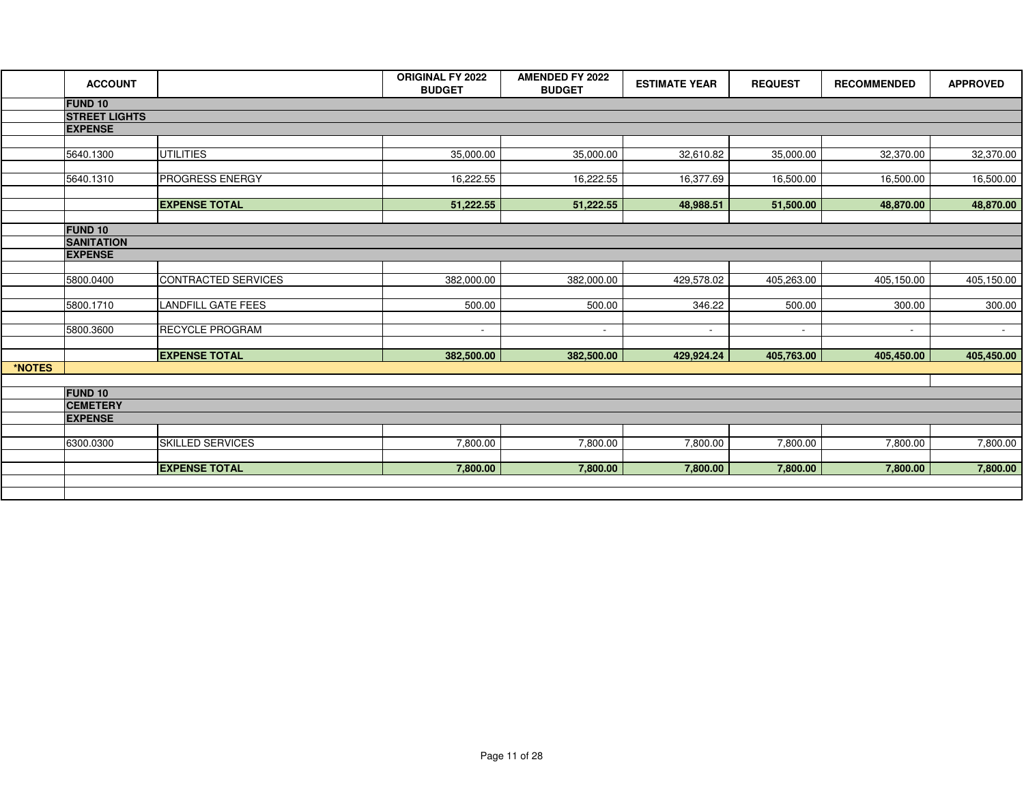|        | <b>ACCOUNT</b>                      |                            | <b>ORIGINAL FY 2022</b><br><b>BUDGET</b> | <b>AMENDED FY 2022</b><br><b>BUDGET</b> | <b>ESTIMATE YEAR</b> | <b>REQUEST</b> | <b>RECOMMENDED</b> | <b>APPROVED</b> |
|--------|-------------------------------------|----------------------------|------------------------------------------|-----------------------------------------|----------------------|----------------|--------------------|-----------------|
|        | <b>FUND 10</b>                      |                            |                                          |                                         |                      |                |                    |                 |
|        | <b>STREET LIGHTS</b>                |                            |                                          |                                         |                      |                |                    |                 |
|        | <b>EXPENSE</b>                      |                            |                                          |                                         |                      |                |                    |                 |
|        | 5640.1300                           | <b>UTILITIES</b>           | 35,000.00                                | 35,000.00                               | 32,610.82            | 35,000.00      | 32,370.00          | 32,370.00       |
|        | 5640.1310                           | <b>PROGRESS ENERGY</b>     | 16,222.55                                | 16,222.55                               | 16,377.69            | 16,500.00      | 16,500.00          | 16,500.00       |
|        |                                     | <b>EXPENSE TOTAL</b>       | 51,222.55                                | 51,222.55                               | 48,988.51            | 51,500.00      | 48,870.00          | 48,870.00       |
|        |                                     |                            |                                          |                                         |                      |                |                    |                 |
|        | <b>FUND 10</b>                      |                            |                                          |                                         |                      |                |                    |                 |
|        | <b>SANITATION</b><br><b>EXPENSE</b> |                            |                                          |                                         |                      |                |                    |                 |
|        |                                     |                            |                                          |                                         |                      |                |                    |                 |
|        | 5800.0400                           | <b>CONTRACTED SERVICES</b> | 382,000.00                               | 382,000.00                              | 429,578.02           | 405,263.00     | 405,150.00         | 405,150.00      |
|        | 5800.1710                           | <b>LANDFILL GATE FEES</b>  | 500.00                                   | 500.00                                  | 346.22               | 500.00         | 300.00             | 300.00          |
|        | 5800.3600                           | <b>RECYCLE PROGRAM</b>     | $\sim$                                   | $\sim$                                  | $\sim$               | $\sim$         | $\sim$             | $\sim$          |
|        |                                     | <b>EXPENSE TOTAL</b>       | 382,500.00                               | 382,500.00                              | 429,924.24           | 405,763.00     | 405,450.00         | 405,450.00      |
| *NOTES |                                     |                            |                                          |                                         |                      |                |                    |                 |
|        | <b>FUND 10</b>                      |                            |                                          |                                         |                      |                |                    |                 |
|        | <b>CEMETERY</b>                     |                            |                                          |                                         |                      |                |                    |                 |
|        | <b>EXPENSE</b>                      |                            |                                          |                                         |                      |                |                    |                 |
|        |                                     |                            |                                          |                                         |                      |                |                    |                 |
|        | 6300.0300                           | <b>SKILLED SERVICES</b>    | 7,800.00                                 | 7,800.00                                | 7,800.00             | 7,800.00       | 7,800.00           | 7,800.00        |
|        |                                     | <b>EXPENSE TOTAL</b>       | 7,800.00                                 | 7,800.00                                | 7,800.00             | 7,800.00       | 7,800.00           | 7,800.00        |
|        |                                     |                            |                                          |                                         |                      |                |                    |                 |
|        |                                     |                            |                                          |                                         |                      |                |                    |                 |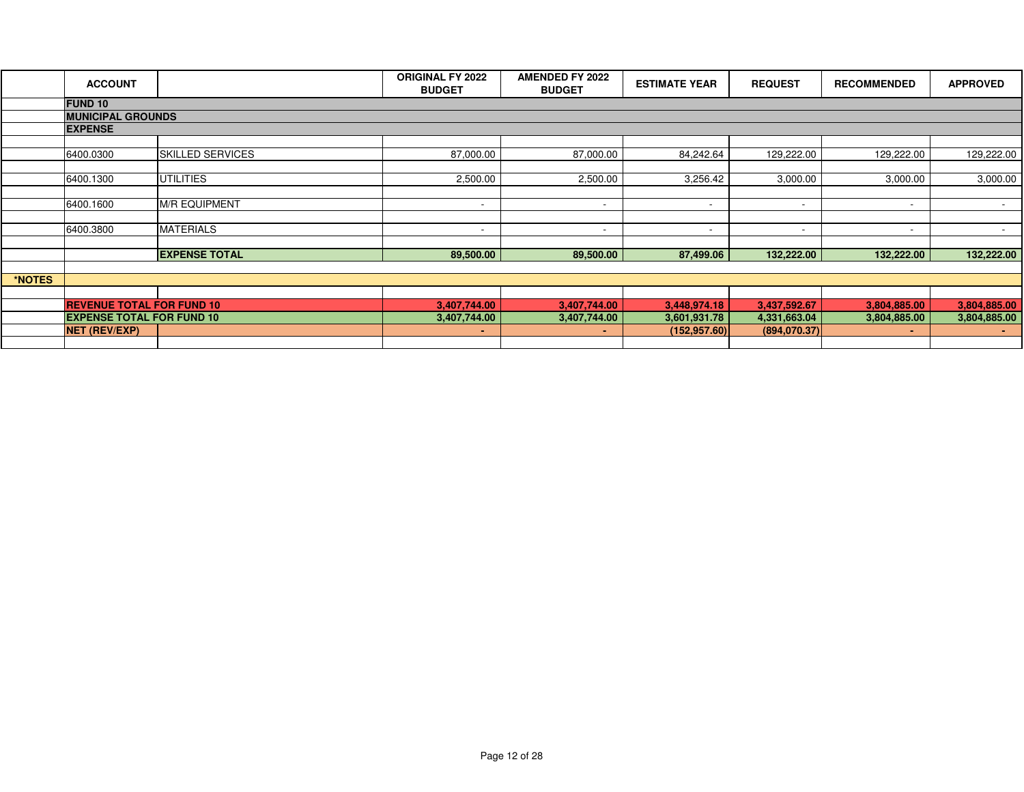|        | <b>ACCOUNT</b>                   |                         | <b>ORIGINAL FY 2022</b><br><b>BUDGET</b> | <b>AMENDED FY 2022</b><br><b>BUDGET</b> | <b>ESTIMATE YEAR</b>     | <b>REQUEST</b>           | <b>RECOMMENDED</b>       | <b>APPROVED</b> |
|--------|----------------------------------|-------------------------|------------------------------------------|-----------------------------------------|--------------------------|--------------------------|--------------------------|-----------------|
|        | <b>FUND 10</b>                   |                         |                                          |                                         |                          |                          |                          |                 |
|        | <b>MUNICIPAL GROUNDS</b>         |                         |                                          |                                         |                          |                          |                          |                 |
|        | <b>EXPENSE</b>                   |                         |                                          |                                         |                          |                          |                          |                 |
|        |                                  |                         |                                          |                                         |                          |                          |                          |                 |
|        | 6400.0300                        | <b>SKILLED SERVICES</b> | 87,000.00                                | 87,000.00                               | 84,242.64                | 129,222.00               | 129,222.00               | 129,222.00      |
|        |                                  |                         |                                          |                                         |                          |                          |                          |                 |
|        | 6400.1300                        | <b>UTILITIES</b>        | 2,500.00                                 | 2,500.00                                | 3,256.42                 | 3,000.00                 | 3,000.00                 | 3,000.00        |
|        |                                  |                         |                                          |                                         |                          |                          |                          |                 |
|        | 6400.1600                        | <b>M/R EQUIPMENT</b>    | $\overline{\phantom{a}}$                 | $\overline{\phantom{a}}$                | $\overline{\phantom{a}}$ | $\sim$                   | $\sim$                   | $\sim$          |
|        |                                  |                         |                                          |                                         |                          |                          |                          |                 |
|        | 6400.3800                        | <b>MATERIALS</b>        | $\overline{\phantom{0}}$                 | $\overline{\phantom{a}}$                | $\overline{\phantom{a}}$ | $\overline{\phantom{0}}$ | $\overline{\phantom{0}}$ | $\sim$          |
|        |                                  |                         |                                          |                                         |                          |                          |                          |                 |
|        |                                  | <b>EXPENSE TOTAL</b>    | 89,500.00                                | 89,500.00                               | 87,499.06                | 132,222.00               | 132,222.00               | 132,222.00      |
|        |                                  |                         |                                          |                                         |                          |                          |                          |                 |
| *NOTES |                                  |                         |                                          |                                         |                          |                          |                          |                 |
|        |                                  |                         |                                          |                                         |                          |                          |                          |                 |
|        | <b>REVENUE TOTAL FOR FUND 10</b> |                         | 3,407,744.00                             | 3,407,744.00                            | 3,448,974.18             | 3,437,592.67             | 3,804,885.00             | 3,804,885.00    |
|        | <b>EXPENSE TOTAL FOR FUND 10</b> |                         | 3,407,744.00                             | 3,407,744.00                            | 3,601,931.78             | 4,331,663.04             | 3,804,885.00             | 3,804,885.00    |
|        | <b>NET (REV/EXP)</b>             |                         | $\sim$                                   | $\sim$                                  | (152, 957.60)            | (894,070.37)             |                          | <b>COL</b>      |
|        |                                  |                         |                                          |                                         |                          |                          |                          |                 |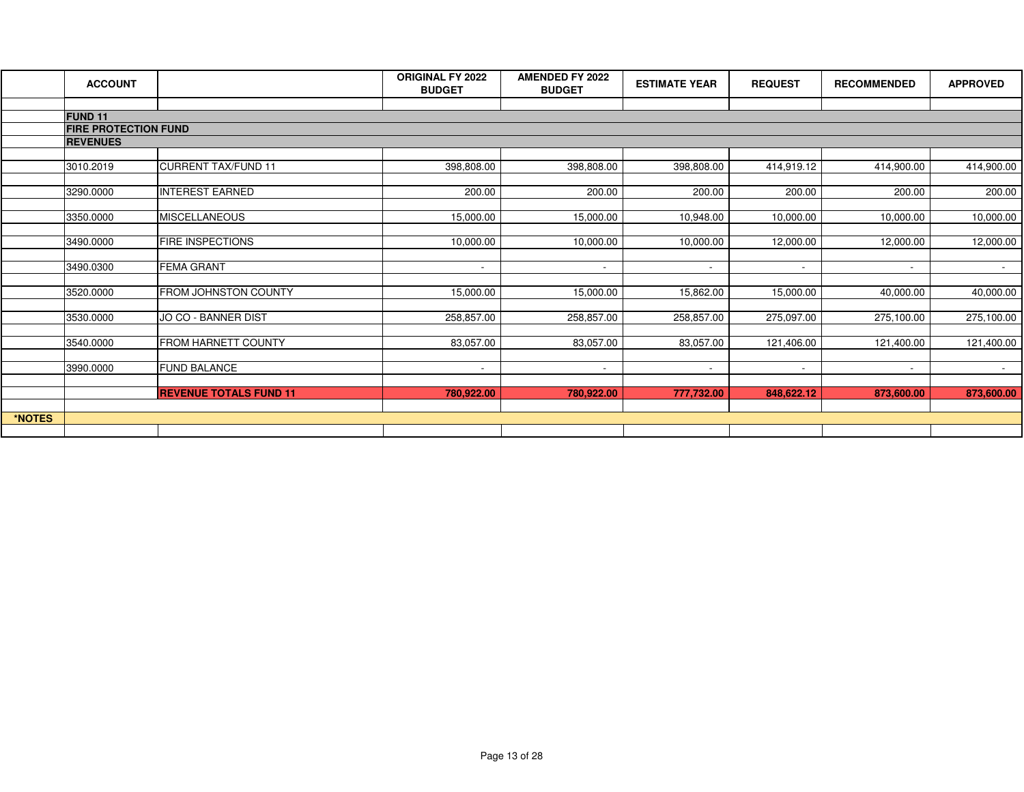|        | <b>ACCOUNT</b>              |                               | <b>ORIGINAL FY 2022</b><br><b>BUDGET</b> | <b>AMENDED FY 2022</b><br><b>BUDGET</b> | <b>ESTIMATE YEAR</b> | <b>REQUEST</b> | <b>RECOMMENDED</b> | <b>APPROVED</b> |
|--------|-----------------------------|-------------------------------|------------------------------------------|-----------------------------------------|----------------------|----------------|--------------------|-----------------|
|        |                             |                               |                                          |                                         |                      |                |                    |                 |
|        | <b>FUND 11</b>              |                               |                                          |                                         |                      |                |                    |                 |
|        | <b>FIRE PROTECTION FUND</b> |                               |                                          |                                         |                      |                |                    |                 |
|        | <b>REVENUES</b>             |                               |                                          |                                         |                      |                |                    |                 |
|        | 3010.2019                   | <b>CURRENT TAX/FUND 11</b>    | 398,808.00                               | 398,808.00                              | 398,808.00           | 414,919.12     | 414,900.00         | 414,900.00      |
|        | 3290.0000                   | <b>INTEREST EARNED</b>        | 200.00                                   | 200.00                                  | 200.00               | 200.00         | 200.00             | 200.00          |
|        |                             |                               |                                          |                                         |                      |                |                    |                 |
|        | 3350.0000                   | <b>IMISCELLANEOUS</b>         | 15,000.00                                | 15,000.00                               | 10,948.00            | 10,000.00      | 10,000.00          | 10,000.00       |
|        | 3490.0000                   | <b>FIRE INSPECTIONS</b>       | 10,000.00                                | 10,000.00                               | 10,000.00            | 12,000.00      | 12,000.00          | 12,000.00       |
|        | 3490.0300                   | <b>FEMA GRANT</b>             | $\sim$                                   | $\sim$                                  | $\sim$               |                |                    |                 |
|        |                             |                               |                                          |                                         |                      |                |                    |                 |
|        | 3520.0000                   | <b>FROM JOHNSTON COUNTY</b>   | 15,000.00                                | 15,000.00                               | 15,862.00            | 15,000.00      | 40,000.00          | 40,000.00       |
|        | 3530.0000                   | JO CO - BANNER DIST           | 258,857.00                               | 258,857.00                              | 258,857.00           | 275,097.00     | 275,100.00         | 275,100.00      |
|        | 3540.0000                   | <b>FROM HARNETT COUNTY</b>    | 83,057.00                                | 83,057.00                               | 83,057.00            | 121,406.00     | 121,400.00         | 121,400.00      |
|        |                             |                               |                                          |                                         |                      |                |                    |                 |
|        | 3990.0000                   | <b>FUND BALANCE</b>           | $\sim$                                   | $\sim$                                  | $\sim$               | $\sim$         | $\sim$             | $\sim$          |
|        |                             | <b>REVENUE TOTALS FUND 11</b> | 780,922.00                               | 780,922.00                              | 777,732.00           | 848,622.12     | 873,600.00         | 873,600.00      |
|        |                             |                               |                                          |                                         |                      |                |                    |                 |
| *NOTES |                             |                               |                                          |                                         |                      |                |                    |                 |
|        |                             |                               |                                          |                                         |                      |                |                    |                 |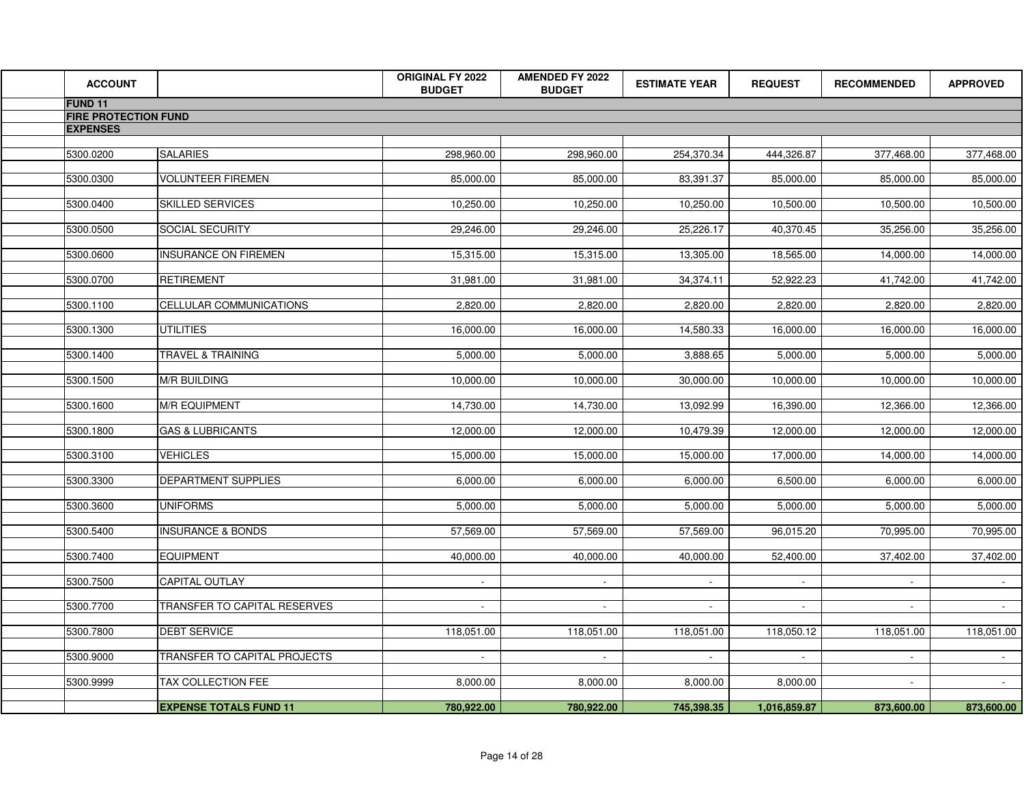| <b>ACCOUNT</b>              |                               | <b>ORIGINAL FY 2022</b><br><b>BUDGET</b> | <b>AMENDED FY 2022</b><br><b>BUDGET</b> | <b>ESTIMATE YEAR</b> | <b>REQUEST</b> | <b>RECOMMENDED</b> | <b>APPROVED</b> |
|-----------------------------|-------------------------------|------------------------------------------|-----------------------------------------|----------------------|----------------|--------------------|-----------------|
| <b>FUND 11</b>              |                               |                                          |                                         |                      |                |                    |                 |
| <b>FIRE PROTECTION FUND</b> |                               |                                          |                                         |                      |                |                    |                 |
| <b>EXPENSES</b>             |                               |                                          |                                         |                      |                |                    |                 |
| 5300.0200                   | <b>SALARIES</b>               | 298,960.00                               | 298,960.00                              | 254,370.34           | 444,326.87     | 377,468.00         | 377,468.00      |
|                             |                               |                                          |                                         |                      |                |                    |                 |
| 5300.0300                   | <b>VOLUNTEER FIREMEN</b>      | 85,000.00                                | 85,000.00                               | 83,391.37            | 85,000.00      | 85,000.00          | 85,000.00       |
| 5300.0400                   | <b>SKILLED SERVICES</b>       | 10,250.00                                | 10,250.00                               | 10,250.00            | 10,500.00      | 10,500.00          | 10,500.00       |
|                             |                               |                                          |                                         |                      |                |                    |                 |
| 5300.0500                   | <b>SOCIAL SECURITY</b>        | 29,246.00                                | 29,246.00                               | 25,226.17            | 40,370.45      | 35,256.00          | 35,256.00       |
| 5300.0600                   | <b>INSURANCE ON FIREMEN</b>   | 15,315.00                                | 15,315.00                               | 13,305.00            | 18,565.00      | 14,000.00          | 14,000.00       |
|                             |                               |                                          |                                         |                      |                |                    |                 |
| 5300.0700                   | <b>RETIREMENT</b>             | 31,981.00                                | 31,981.00                               | 34,374.11            | 52,922.23      | 41,742.00          | 41,742.00       |
| 5300.1100                   | CELLULAR COMMUNICATIONS       | 2,820.00                                 | 2,820.00                                | 2,820.00             | 2,820.00       | 2,820.00           | 2,820.00        |
|                             |                               |                                          |                                         |                      |                |                    |                 |
| 5300.1300                   | <b>UTILITIES</b>              | 16,000.00                                | 16,000.00                               | 14,580.33            | 16,000.00      | 16,000.00          | 16,000.00       |
| 5300.1400                   | <b>TRAVEL &amp; TRAINING</b>  | 5,000.00                                 | 5,000.00                                | 3,888.65             | 5,000.00       | 5,000.00           | 5,000.00        |
|                             |                               |                                          |                                         |                      |                |                    |                 |
| 5300.1500                   | <b>M/R BUILDING</b>           | 10,000.00                                | 10,000.00                               | 30,000.00            | 10,000.00      | 10,000.00          | 10,000.00       |
| 5300.1600                   | <b>M/R EQUIPMENT</b>          | 14,730.00                                | 14,730.00                               | 13,092.99            | 16,390.00      | 12,366.00          | 12,366.00       |
| 5300.1800                   | <b>GAS &amp; LUBRICANTS</b>   | 12,000.00                                | 12,000.00                               | 10,479.39            | 12,000.00      | 12,000.00          | 12,000.00       |
|                             |                               |                                          |                                         |                      |                |                    |                 |
| 5300.3100                   | <b>VEHICLES</b>               | 15,000.00                                | 15,000.00                               | 15,000.00            | 17,000.00      | 14,000.00          | 14,000.00       |
| 5300.3300                   | <b>DEPARTMENT SUPPLIES</b>    | 6,000.00                                 | 6,000.00                                | 6,000.00             | 6,500.00       | 6,000.00           | 6,000.00        |
|                             |                               |                                          |                                         |                      |                |                    |                 |
| 5300.3600                   | <b>UNIFORMS</b>               | 5,000.00                                 | 5,000.00                                | 5,000.00             | 5,000.00       | 5,000.00           | 5,000.00        |
| 5300.5400                   | <b>INSURANCE &amp; BONDS</b>  | 57,569.00                                | 57,569.00                               | 57,569.00            | 96,015.20      | 70,995.00          | 70,995.00       |
|                             |                               |                                          |                                         |                      |                |                    |                 |
| 5300.7400                   | <b>EQUIPMENT</b>              | 40,000.00                                | 40,000.00                               | 40,000.00            | 52,400.00      | 37,402.00          | 37,402.00       |
| 5300.7500                   | CAPITAL OUTLAY                | $\sim$                                   | $\blacksquare$                          |                      |                |                    |                 |
|                             |                               |                                          |                                         |                      |                |                    |                 |
| 5300.7700                   | TRANSFER TO CAPITAL RESERVES  | $\sim$                                   | $\sim$                                  | $\mathbf{r}$         | $\sim$         | $\sim$             | $\sim$          |
| 5300.7800                   | <b>DEBT SERVICE</b>           | 118,051.00                               | 118,051.00                              | 118,051.00           | 118,050.12     | 118,051.00         | 118,051.00      |
|                             |                               |                                          |                                         |                      |                |                    |                 |
| 5300.9000                   | TRANSFER TO CAPITAL PROJECTS  | $\sim$                                   | $\sim$                                  | $\sim$               | $\sim$         | $\sim$             | $\sim$          |
| 5300.9999                   | TAX COLLECTION FEE            | 8,000.00                                 | 8,000.00                                | 8,000.00             | 8,000.00       |                    |                 |
|                             |                               |                                          |                                         |                      |                |                    |                 |
|                             | <b>EXPENSE TOTALS FUND 11</b> | 780,922.00                               | 780,922.00                              | 745,398.35           | 1,016,859.87   | 873,600.00         | 873,600.00      |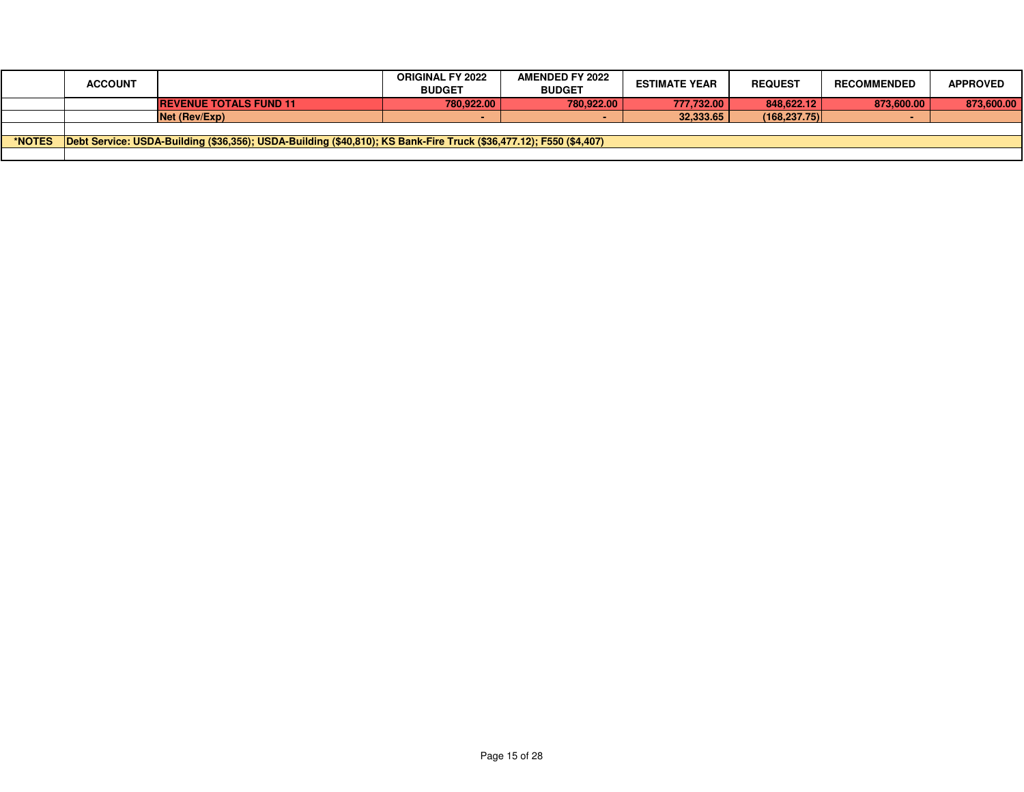|               | <b>ACCOUNT</b> |                                                                                                                    | <b>ORIGINAL FY 2022</b><br><b>BUDGET</b> | <b>AMENDED FY 2022</b><br><b>BUDGET</b> | <b>ESTIMATE YEAR</b> | <b>REQUEST</b> | <b>RECOMMENDED</b> | <b>APPROVED</b> |
|---------------|----------------|--------------------------------------------------------------------------------------------------------------------|------------------------------------------|-----------------------------------------|----------------------|----------------|--------------------|-----------------|
|               |                | <b>REVENUE TOTALS FUND 11</b>                                                                                      | 780.922.00                               | 780.922.00                              | 777.732.00           | 848,622.12     | 873,600.00         | 873,600.00      |
|               |                | Net (Rev/Exp)                                                                                                      |                                          |                                         | 32.333.65            | (168.237.75)   |                    |                 |
|               |                |                                                                                                                    |                                          |                                         |                      |                |                    |                 |
| <b>*NOTES</b> |                | Debt Service: USDA-Building (\$36,356); USDA-Building (\$40,810); KS Bank-Fire Truck (\$36,477.12); F550 (\$4,407) |                                          |                                         |                      |                |                    |                 |
|               |                |                                                                                                                    |                                          |                                         |                      |                |                    |                 |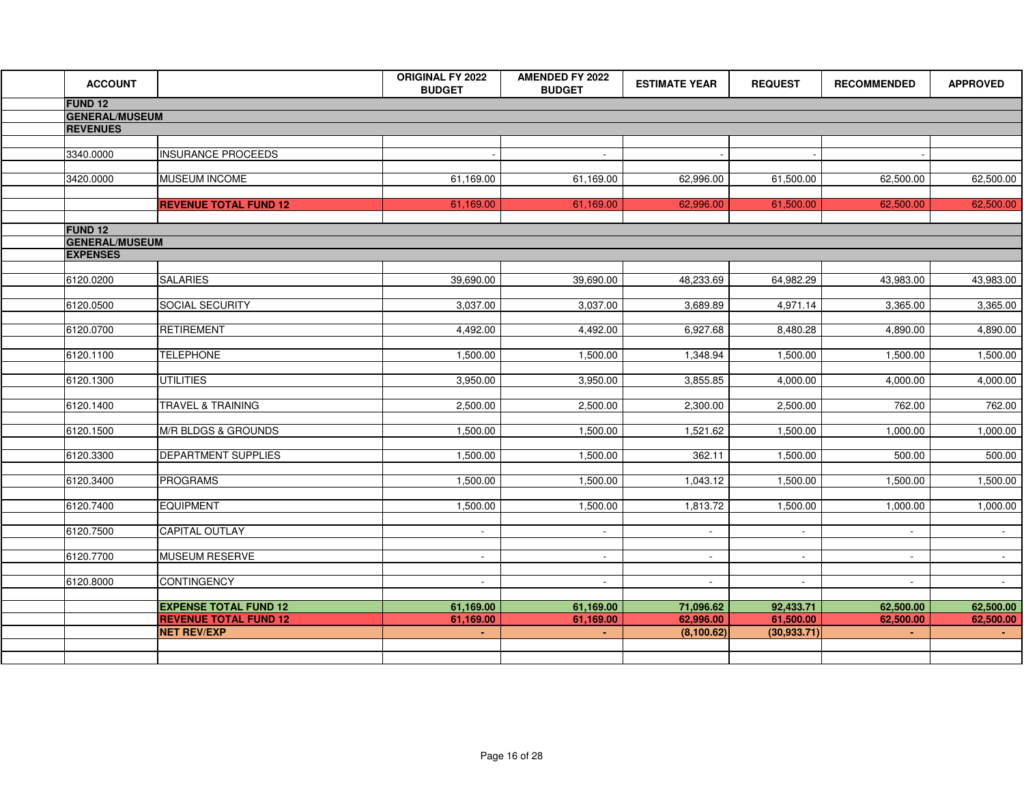| <b>ACCOUNT</b>        |                              | <b>ORIGINAL FY 2022</b><br><b>BUDGET</b> | <b>AMENDED FY 2022</b><br><b>BUDGET</b> | <b>ESTIMATE YEAR</b> | <b>REQUEST</b>           | <b>RECOMMENDED</b>       | <b>APPROVED</b> |
|-----------------------|------------------------------|------------------------------------------|-----------------------------------------|----------------------|--------------------------|--------------------------|-----------------|
| FUND <sub>12</sub>    |                              |                                          |                                         |                      |                          |                          |                 |
| <b>GENERAL/MUSEUM</b> |                              |                                          |                                         |                      |                          |                          |                 |
| <b>REVENUES</b>       |                              |                                          |                                         |                      |                          |                          |                 |
|                       |                              |                                          | $\sim$                                  |                      |                          |                          |                 |
| 3340.0000             | <b>INSURANCE PROCEEDS</b>    |                                          |                                         |                      |                          |                          |                 |
| 3420.0000             | MUSEUM INCOME                | 61,169.00                                | 61,169.00                               | 62,996.00            | 61,500.00                | 62,500.00                | 62,500.00       |
|                       |                              |                                          |                                         |                      |                          |                          |                 |
|                       | <b>REVENUE TOTAL FUND 12</b> | 61,169.00                                | 61,169.00                               | 62,996.00            | 61,500.00                | 62,500.00                | 62,500.00       |
| <b>FUND 12</b>        |                              |                                          |                                         |                      |                          |                          |                 |
| <b>GENERAL/MUSEUM</b> |                              |                                          |                                         |                      |                          |                          |                 |
| <b>EXPENSES</b>       |                              |                                          |                                         |                      |                          |                          |                 |
|                       |                              |                                          |                                         |                      |                          |                          |                 |
| 6120.0200             | <b>SALARIES</b>              | 39,690.00                                | 39,690.00                               | 48,233.69            | 64,982.29                | 43,983.00                | 43,983.00       |
| 6120.0500             | <b>SOCIAL SECURITY</b>       | 3,037.00                                 | 3,037.00                                | 3,689.89             | 4,971.14                 | 3,365.00                 | 3,365.00        |
|                       |                              |                                          |                                         |                      |                          |                          |                 |
| 6120.0700             | RETIREMENT                   | 4,492.00                                 | 4,492.00                                | 6,927.68             | 8,480.28                 | 4,890.00                 | 4,890.00        |
|                       |                              |                                          |                                         |                      |                          |                          |                 |
| 6120.1100             | <b>TELEPHONE</b>             | 1,500.00                                 | 1,500.00                                | 1,348.94             | 1,500.00                 | 1,500.00                 | 1,500.00        |
| 6120.1300             | <b>UTILITIES</b>             | 3,950.00                                 | 3,950.00                                | 3,855.85             | 4,000.00                 | 4,000.00                 | 4,000.00        |
|                       |                              |                                          |                                         |                      |                          |                          |                 |
| 6120.1400             | <b>TRAVEL &amp; TRAINING</b> | 2,500.00                                 | 2,500.00                                | 2,300.00             | 2,500.00                 | 762.00                   | 762.00          |
| 6120.1500             | M/R BLDGS & GROUNDS          | 1,500.00                                 | 1,500.00                                | 1,521.62             | 1,500.00                 | 1,000.00                 | 1,000.00        |
|                       |                              |                                          |                                         |                      |                          |                          |                 |
| 6120.3300             | <b>DEPARTMENT SUPPLIES</b>   | 1,500.00                                 | 1,500.00                                | 362.11               | 1,500.00                 | 500.00                   | 500.00          |
| 6120.3400             | <b>PROGRAMS</b>              | 1,500.00                                 | 1,500.00                                | 1,043.12             | 1,500.00                 | 1,500.00                 | 1,500.00        |
|                       |                              |                                          |                                         |                      |                          |                          |                 |
| 6120.7400             | <b>EQUIPMENT</b>             | 1,500.00                                 | 1,500.00                                | 1,813.72             | 1,500.00                 | 1,000.00                 | 1,000.00        |
|                       |                              |                                          |                                         |                      |                          |                          |                 |
| 6120.7500             | <b>CAPITAL OUTLAY</b>        | $\sim$                                   | $\blacksquare$                          | $\sim$               | $\overline{\phantom{a}}$ | $\sim$                   | $\sim$          |
| 6120.7700             | <b>MUSEUM RESERVE</b>        | $\sim$                                   | $\sim$                                  | $\sim$               | $\sim$                   | $\blacksquare$           | $\sim 100$      |
|                       |                              |                                          |                                         |                      |                          |                          |                 |
| 6120.8000             | <b>CONTINGENCY</b>           | $\sim$                                   | $\sim$                                  | $\sim$               | $\blacksquare$           | $\overline{\phantom{a}}$ | $\sim 10$       |
|                       | <b>EXPENSE TOTAL FUND 12</b> | 61,169.00                                | 61,169.00                               | 71,096.62            | 92,433.71                | 62,500.00                | 62,500.00       |
|                       | <b>REVENUE TOTAL FUND 12</b> | 61,169.00                                | 61,169.00                               | 62,996.00            | 61,500.00                | 62,500.00                | 62,500.00       |
|                       | <b>NET REV/EXP</b>           |                                          |                                         | (8, 100.62)          | (30, 933.71)             |                          |                 |
|                       |                              |                                          |                                         |                      |                          |                          |                 |
|                       |                              |                                          |                                         |                      |                          |                          |                 |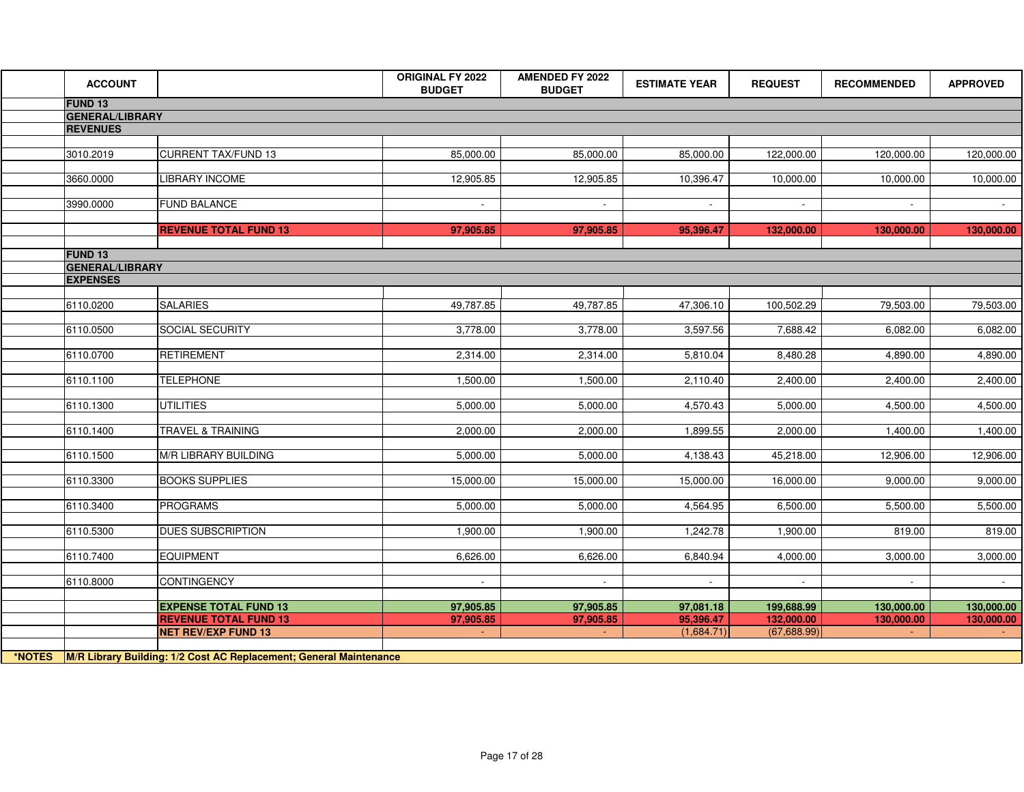| <b>ACCOUNT</b>         |                                                              | <b>ORIGINAL FY 2022</b><br><b>BUDGET</b> | <b>AMENDED FY 2022</b><br><b>BUDGET</b> | <b>ESTIMATE YEAR</b>   | <b>REQUEST</b>           | <b>RECOMMENDED</b>       | <b>APPROVED</b>          |
|------------------------|--------------------------------------------------------------|------------------------------------------|-----------------------------------------|------------------------|--------------------------|--------------------------|--------------------------|
| FUND <sub>13</sub>     |                                                              |                                          |                                         |                        |                          |                          |                          |
| <b>GENERAL/LIBRARY</b> |                                                              |                                          |                                         |                        |                          |                          |                          |
| <b>REVENUES</b>        |                                                              |                                          |                                         |                        |                          |                          |                          |
| 3010.2019              | <b>CURRENT TAX/FUND 13</b>                                   | 85,000.00                                | 85,000.00                               | 85,000.00              | 122,000.00               | 120,000.00               | 120,000.00               |
|                        |                                                              |                                          |                                         |                        |                          |                          |                          |
| 3660.0000              | <b>LIBRARY INCOME</b>                                        | 12,905.85                                | 12,905.85                               | 10,396.47              | 10,000.00                | 10,000.00                | 10,000.00                |
|                        |                                                              |                                          |                                         |                        |                          |                          |                          |
| 3990.0000              | <b>FUND BALANCE</b>                                          | $\sim$                                   | $\sim$                                  | $\sim$                 | $\blacksquare$           | $\sim$                   | $\sim 100$               |
|                        | <b>REVENUE TOTAL FUND 13</b>                                 | 97,905.85                                | 97,905.85                               | 95,396.47              | 132,000.00               | 130,000.00               | 130,000.00               |
|                        |                                                              |                                          |                                         |                        |                          |                          |                          |
| <b>FUND 13</b>         |                                                              |                                          |                                         |                        |                          |                          |                          |
| <b>GENERAL/LIBRARY</b> |                                                              |                                          |                                         |                        |                          |                          |                          |
| <b>EXPENSES</b>        |                                                              |                                          |                                         |                        |                          |                          |                          |
| 6110.0200              | <b>SALARIES</b>                                              | 49,787.85                                | 49,787.85                               | 47,306.10              | 100,502.29               | 79,503.00                | 79,503.00                |
|                        |                                                              |                                          |                                         |                        |                          |                          |                          |
| 6110.0500              | <b>SOCIAL SECURITY</b>                                       | 3,778.00                                 | 3,778.00                                | 3,597.56               | 7,688.42                 | 6,082.00                 | 6,082.00                 |
| 6110.0700              | <b>RETIREMENT</b>                                            | 2,314.00                                 | 2,314.00                                | 5,810.04               | 8,480.28                 | 4,890.00                 | 4,890.00                 |
| 6110.1100              | <b>TELEPHONE</b>                                             | 1,500.00                                 | 1,500.00                                | 2,110.40               | 2,400.00                 | 2,400.00                 | 2,400.00                 |
|                        |                                                              |                                          |                                         |                        |                          |                          |                          |
| 6110.1300              | <b>UTILITIES</b>                                             | 5,000.00                                 | 5,000.00                                | 4,570.43               | 5,000.00                 | 4,500.00                 | 4,500.00                 |
| 6110.1400              | <b>TRAVEL &amp; TRAINING</b>                                 | 2,000.00                                 | 2,000.00                                | 1,899.55               | 2,000.00                 | 1,400.00                 | 1,400.00                 |
|                        |                                                              |                                          |                                         |                        |                          |                          |                          |
| 6110.1500              | M/R LIBRARY BUILDING                                         | 5,000.00                                 | 5,000.00                                | 4,138.43               | 45,218.00                | 12,906.00                | 12,906.00                |
| 6110.3300              | <b>BOOKS SUPPLIES</b>                                        | 15,000.00                                | 15,000.00                               | 15,000.00              | 16,000.00                | 9,000.00                 | 9,000.00                 |
|                        |                                                              |                                          |                                         |                        |                          |                          |                          |
| 6110.3400              | <b>PROGRAMS</b>                                              | 5,000.00                                 | 5,000.00                                | 4,564.95               | 6,500.00                 | 5,500.00                 | 5,500.00                 |
| 6110.5300              | <b>DUES SUBSCRIPTION</b>                                     | 1,900.00                                 | 1,900.00                                | 1,242.78               | 1,900.00                 | 819.00                   | 819.00                   |
|                        |                                                              |                                          |                                         |                        |                          |                          |                          |
| 6110.7400              | <b>EQUIPMENT</b>                                             | 6,626.00                                 | 6,626.00                                | 6,840.94               | 4,000.00                 | 3,000.00                 | 3,000.00                 |
| 6110.8000              | <b>CONTINGENCY</b>                                           | $\sim$                                   | $\sim$                                  | $\sim$                 | $\sim$                   | $\sim$                   | $\sim 10^{-10}$          |
|                        |                                                              |                                          |                                         |                        |                          |                          |                          |
|                        | <b>EXPENSE TOTAL FUND 13</b><br><b>REVENUE TOTAL FUND 13</b> | 97,905.85<br>97,905.85                   | 97,905.85<br>97,905.85                  | 97,081.18<br>95,396.47 | 199,688.99<br>132,000.00 | 130,000.00<br>130,000.00 | 130,000.00<br>130,000.00 |
|                        | <b>NET REV/EXP FUND 13</b>                                   |                                          |                                         | (1,684.71)             | (67,688.99)              |                          |                          |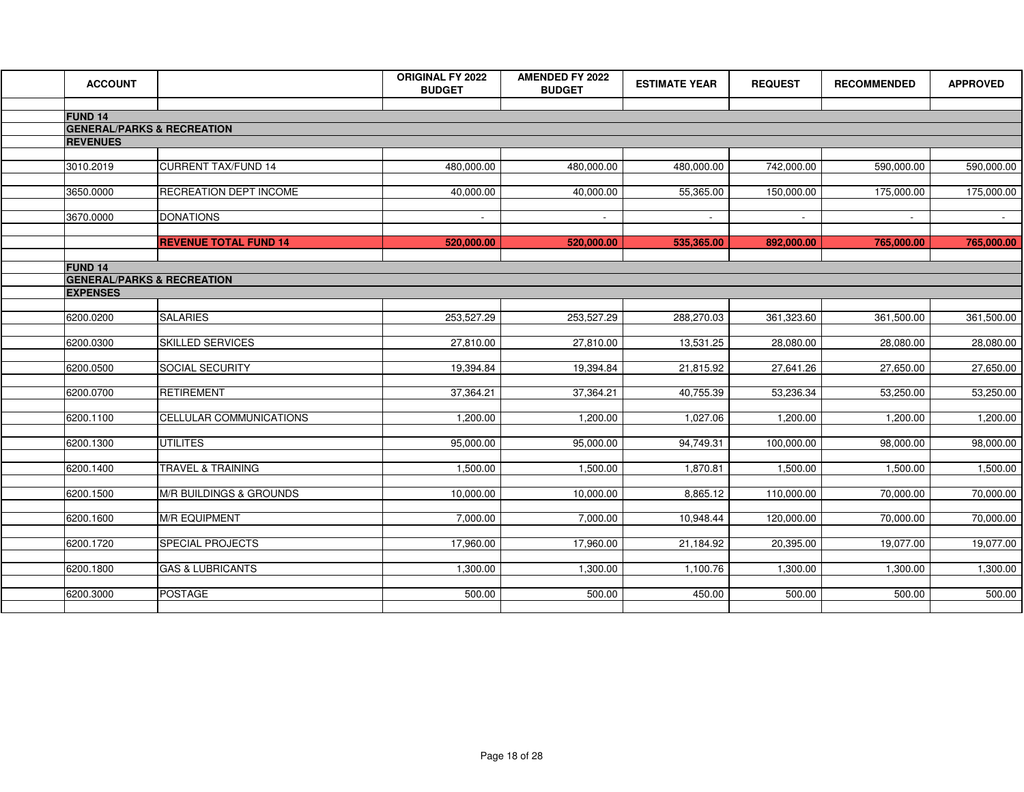| <b>ACCOUNT</b>                                              |                              | <b>ORIGINAL FY 2022</b><br><b>BUDGET</b> | <b>AMENDED FY 2022</b><br><b>BUDGET</b> | <b>ESTIMATE YEAR</b> | <b>REQUEST</b> | <b>RECOMMENDED</b> | <b>APPROVED</b> |
|-------------------------------------------------------------|------------------------------|------------------------------------------|-----------------------------------------|----------------------|----------------|--------------------|-----------------|
|                                                             |                              |                                          |                                         |                      |                |                    |                 |
| FUND <sub>14</sub><br><b>GENERAL/PARKS &amp; RECREATION</b> |                              |                                          |                                         |                      |                |                    |                 |
| <b>REVENUES</b>                                             |                              |                                          |                                         |                      |                |                    |                 |
|                                                             |                              |                                          |                                         |                      |                |                    |                 |
| 3010.2019                                                   | <b>CURRENT TAX/FUND 14</b>   | 480,000.00                               | 480,000.00                              | 480,000.00           | 742,000.00     | 590,000.00         | 590,000.00      |
| 3650.0000                                                   | RECREATION DEPT INCOME       | 40,000.00                                | 40,000.00                               | 55,365.00            | 150,000.00     | 175,000.00         | 175,000.00      |
|                                                             |                              |                                          |                                         |                      |                |                    |                 |
| 3670.0000                                                   | <b>DONATIONS</b>             | $\sim$                                   | $\mathbf{r}$                            | $\sim$               | $\blacksquare$ |                    |                 |
|                                                             | <b>REVENUE TOTAL FUND 14</b> | 520,000.00                               | 520,000.00                              | 535,365.00           | 892,000.00     | 765,000.00         | 765,000.00      |
| <b>FUND 14</b>                                              |                              |                                          |                                         |                      |                |                    |                 |
| <b>GENERAL/PARKS &amp; RECREATION</b>                       |                              |                                          |                                         |                      |                |                    |                 |
| <b>EXPENSES</b>                                             |                              |                                          |                                         |                      |                |                    |                 |
| 6200.0200                                                   | <b>SALARIES</b>              | 253,527.29                               | 253,527.29                              | 288,270.03           | 361,323.60     | 361,500.00         | 361,500.00      |
| 6200.0300                                                   | <b>SKILLED SERVICES</b>      | 27,810.00                                | 27,810.00                               | 13,531.25            | 28,080.00      | 28,080.00          | 28,080.00       |
| 6200.0500                                                   | SOCIAL SECURITY              | 19,394.84                                | 19,394.84                               | 21,815.92            | 27,641.26      | 27,650.00          | 27,650.00       |
|                                                             |                              |                                          |                                         |                      |                |                    |                 |
| 6200.0700                                                   | <b>RETIREMENT</b>            | 37,364.21                                | 37,364.21                               | 40,755.39            | 53,236.34      | 53,250.00          | 53,250.00       |
| 6200.1100                                                   | CELLULAR COMMUNICATIONS      | 1,200.00                                 | 1,200.00                                | 1,027.06             | 1,200.00       | 1,200.00           | 1,200.00        |
| 6200.1300                                                   | <b>UTILITES</b>              | 95,000.00                                | 95,000.00                               | 94,749.31            | 100,000.00     | 98,000.00          | 98,000.00       |
| 6200.1400                                                   | <b>TRAVEL &amp; TRAINING</b> | 1,500.00                                 | 1,500.00                                | 1,870.81             | 1,500.00       | 1,500.00           | 1,500.00        |
|                                                             |                              |                                          |                                         |                      |                |                    |                 |
| 6200.1500                                                   | M/R BUILDINGS & GROUNDS      | 10,000.00                                | 10,000.00                               | 8,865.12             | 110,000.00     | 70,000.00          | 70,000.00       |
| 6200.1600                                                   | <b>M/R EQUIPMENT</b>         | 7,000.00                                 | 7,000.00                                | 10,948.44            | 120,000.00     | 70,000.00          | 70,000.00       |
| 6200.1720                                                   | <b>SPECIAL PROJECTS</b>      | 17,960.00                                | 17,960.00                               | 21,184.92            | 20,395.00      | 19,077.00          | 19,077.00       |
| 6200.1800                                                   | <b>GAS &amp; LUBRICANTS</b>  | 1,300.00                                 | 1,300.00                                | 1,100.76             | 1,300.00       | 1,300.00           | 1,300.00        |
|                                                             |                              |                                          |                                         |                      |                |                    |                 |
| 6200.3000                                                   | <b>POSTAGE</b>               | 500.00                                   | 500.00                                  | 450.00               | 500.00         | 500.00             | 500.00          |
|                                                             |                              |                                          |                                         |                      |                |                    |                 |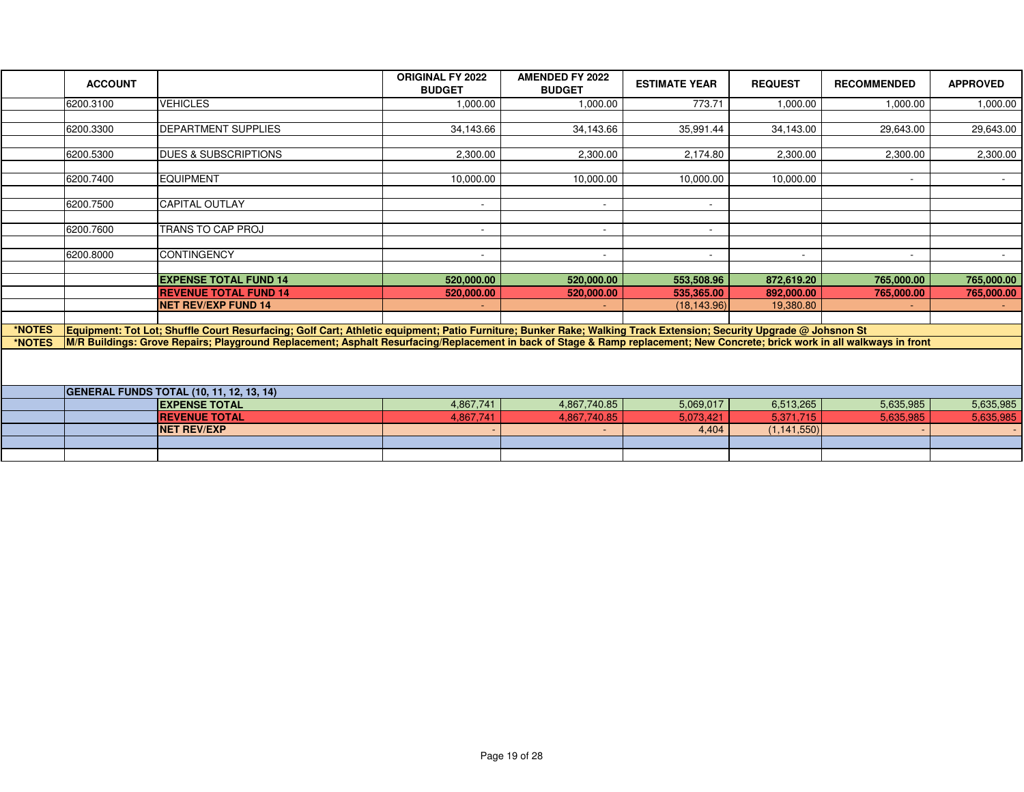|        | <b>ACCOUNT</b> |                                                                                                                                                                              | <b>ORIGINAL FY 2022</b><br><b>BUDGET</b> | <b>AMENDED FY 2022</b><br><b>BUDGET</b> | <b>ESTIMATE YEAR</b>     | <b>REQUEST</b> | <b>RECOMMENDED</b>       | <b>APPROVED</b> |
|--------|----------------|------------------------------------------------------------------------------------------------------------------------------------------------------------------------------|------------------------------------------|-----------------------------------------|--------------------------|----------------|--------------------------|-----------------|
|        | 6200.3100      | <b>VEHICLES</b>                                                                                                                                                              | 1,000.00                                 | 1,000.00                                | 773.71                   | 1,000.00       | 1,000.00                 | 1,000.00        |
|        |                |                                                                                                                                                                              |                                          |                                         |                          |                |                          |                 |
|        | 6200.3300      | <b>DEPARTMENT SUPPLIES</b>                                                                                                                                                   | 34,143.66                                | 34,143.66                               | 35,991.44                | 34,143.00      | 29,643.00                | 29,643.00       |
|        |                |                                                                                                                                                                              |                                          |                                         |                          |                |                          |                 |
|        | 6200.5300      | <b>DUES &amp; SUBSCRIPTIONS</b>                                                                                                                                              | 2,300.00                                 | 2,300.00                                | 2.174.80                 | 2,300.00       | 2,300.00                 | 2,300.00        |
|        |                |                                                                                                                                                                              |                                          |                                         |                          |                |                          |                 |
|        | 6200.7400      | <b>EQUIPMENT</b>                                                                                                                                                             | 10,000.00                                | 10,000.00                               | 10,000.00                | 10,000.00      | $\overline{\phantom{a}}$ | $\sim$          |
|        |                |                                                                                                                                                                              |                                          |                                         |                          |                |                          |                 |
|        | 6200.7500      | CAPITAL OUTLAY                                                                                                                                                               | $\sim$                                   | $\sim$                                  | $\sim$                   |                |                          |                 |
|        | 6200.7600      | <b>TRANS TO CAP PROJ</b>                                                                                                                                                     | $\overline{\phantom{a}}$                 | $\sim$                                  | $\overline{\phantom{a}}$ |                |                          |                 |
|        |                |                                                                                                                                                                              |                                          |                                         |                          |                |                          |                 |
|        | 6200.8000      | <b>CONTINGENCY</b>                                                                                                                                                           | $\overline{\phantom{0}}$                 | $\sim$                                  | $\overline{\phantom{a}}$ |                |                          | $\sim$          |
|        |                |                                                                                                                                                                              |                                          |                                         |                          |                |                          |                 |
|        |                | <b>EXPENSE TOTAL FUND 14</b>                                                                                                                                                 | 520,000.00                               | 520,000.00                              | 553,508.96               | 872,619.20     | 765,000.00               | 765,000.00      |
|        |                | <b>REVENUE TOTAL FUND 14</b>                                                                                                                                                 | 520,000.00                               | 520,000.00                              | 535.365.00               | 892.000.00     | 765,000.00               | 765,000.00      |
|        |                | <b>NET REV/EXP FUND 14</b>                                                                                                                                                   |                                          |                                         | (18, 143.96)             | 19,380.80      |                          |                 |
|        |                |                                                                                                                                                                              |                                          |                                         |                          |                |                          |                 |
| *NOTES |                | Equipment: Tot Lot; Shuffle Court Resurfacing; Golf Cart; Athletic equipment; Patio Furniture; Bunker Rake; Walking Track Extension; Security Upgrade @ Johsnon St           |                                          |                                         |                          |                |                          |                 |
| *NOTES |                | M/R Buildings: Grove Repairs; Playground Replacement; Asphalt Resurfacing/Replacement in back of Stage & Ramp replacement; New Concrete; brick work in all walkways in front |                                          |                                         |                          |                |                          |                 |
|        |                |                                                                                                                                                                              |                                          |                                         |                          |                |                          |                 |
|        |                | <b>GENERAL FUNDS TOTAL (10, 11, 12, 13, 14)</b>                                                                                                                              |                                          |                                         |                          |                |                          |                 |
|        |                | <b>EXPENSE TOTAL</b>                                                                                                                                                         | 4,867,741                                | 4,867,740.85                            | 5,069,017                | 6,513,265      | 5,635,985                | 5,635,985       |
|        |                | <b>REVENUE TOTAL</b>                                                                                                                                                         | 4,867,741                                | 4,867,740.85                            | 5,073,421                | 5,371,715      | 5,635,985                | 5,635,985       |
|        |                | <b>NET REV/EXP</b>                                                                                                                                                           |                                          |                                         | 4,404                    | (1, 141, 550)  |                          |                 |
|        |                |                                                                                                                                                                              |                                          |                                         |                          |                |                          |                 |
|        |                |                                                                                                                                                                              |                                          |                                         |                          |                |                          |                 |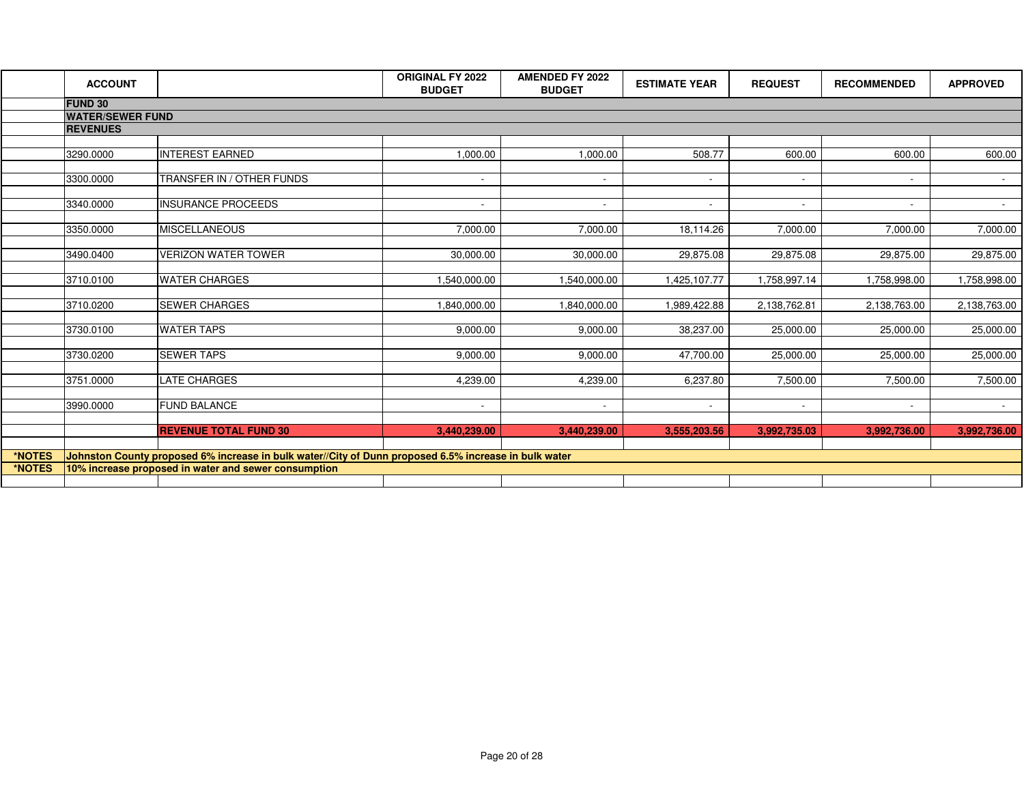|        | <b>ACCOUNT</b>          |                                                                                                       | <b>ORIGINAL FY 2022</b><br><b>BUDGET</b> | <b>AMENDED FY 2022</b><br><b>BUDGET</b> | <b>ESTIMATE YEAR</b>     | <b>REQUEST</b>           | <b>RECOMMENDED</b>       | <b>APPROVED</b> |
|--------|-------------------------|-------------------------------------------------------------------------------------------------------|------------------------------------------|-----------------------------------------|--------------------------|--------------------------|--------------------------|-----------------|
|        | <b>FUND 30</b>          |                                                                                                       |                                          |                                         |                          |                          |                          |                 |
|        | <b>WATER/SEWER FUND</b> |                                                                                                       |                                          |                                         |                          |                          |                          |                 |
|        | <b>REVENUES</b>         |                                                                                                       |                                          |                                         |                          |                          |                          |                 |
|        |                         |                                                                                                       |                                          |                                         |                          |                          |                          |                 |
|        | 3290.0000               | <b>INTEREST EARNED</b>                                                                                | 1,000.00                                 | 1,000.00                                | 508.77                   | 600.00                   | 600.00                   | 600.00          |
|        |                         |                                                                                                       |                                          |                                         |                          |                          |                          |                 |
|        | 3300.0000               | TRANSFER IN / OTHER FUNDS                                                                             | $\sim$                                   | $\sim$                                  | $\sim$                   | $\sim$                   | $\sim$                   | $\sim 100$      |
|        |                         |                                                                                                       |                                          |                                         |                          |                          |                          |                 |
|        | 3340.0000               | <b>INSURANCE PROCEEDS</b>                                                                             | $\overline{\phantom{a}}$                 | $\sim$                                  | $\overline{\phantom{0}}$ | $\overline{\phantom{a}}$ |                          | $\sim$          |
|        |                         |                                                                                                       |                                          |                                         |                          |                          |                          |                 |
|        | 3350.0000               | <b>MISCELLANEOUS</b>                                                                                  | 7,000.00                                 | 7,000.00                                | 18,114.26                | 7,000.00                 | 7,000.00                 | 7,000.00        |
|        | 3490.0400               | <b>VERIZON WATER TOWER</b>                                                                            | 30,000.00                                | 30,000.00                               |                          |                          |                          |                 |
|        |                         |                                                                                                       |                                          |                                         | 29,875.08                | 29,875.08                | 29,875.00                | 29,875.00       |
|        | 3710.0100               | <b>WATER CHARGES</b>                                                                                  | 1,540,000.00                             | 1,540,000.00                            | 1,425,107.77             | 1,758,997.14             | 1,758,998.00             | 1,758,998.00    |
|        |                         |                                                                                                       |                                          |                                         |                          |                          |                          |                 |
|        | 3710.0200               | <b>SEWER CHARGES</b>                                                                                  | 1,840,000.00                             | 1,840,000.00                            | 1,989,422.88             | 2,138,762.81             | 2,138,763.00             | 2,138,763.00    |
|        |                         |                                                                                                       |                                          |                                         |                          |                          |                          |                 |
|        | 3730.0100               | <b>WATER TAPS</b>                                                                                     | 9,000.00                                 | 9,000.00                                | 38,237.00                | 25,000.00                | 25,000.00                | 25,000.00       |
|        |                         |                                                                                                       |                                          |                                         |                          |                          |                          |                 |
|        | 3730.0200               | <b>SEWER TAPS</b>                                                                                     | 9.000.00                                 | 9,000.00                                | 47,700.00                | 25,000.00                | 25,000.00                | 25,000.00       |
|        |                         |                                                                                                       |                                          |                                         |                          |                          |                          |                 |
|        | 3751.0000               | <b>LATE CHARGES</b>                                                                                   | 4,239.00                                 | 4,239.00                                | 6,237.80                 | 7,500.00                 | 7,500.00                 | 7,500.00        |
|        |                         |                                                                                                       |                                          |                                         |                          |                          |                          |                 |
|        | 3990.0000               | <b>FUND BALANCE</b>                                                                                   | $\sim$                                   | $\sim$                                  | $\sim$                   | $\sim$                   | $\overline{\phantom{a}}$ | $\sim$ 10 $\pm$ |
|        |                         |                                                                                                       |                                          |                                         |                          |                          |                          |                 |
|        |                         | <b>REVENUE TOTAL FUND 30</b>                                                                          | 3,440,239.00                             | 3,440,239.00                            | 3,555,203.56             | 3,992,735.03             | 3,992,736.00             | 3,992,736.00    |
|        |                         |                                                                                                       |                                          |                                         |                          |                          |                          |                 |
| *NOTES |                         | Johnston County proposed 6% increase in bulk water//City of Dunn proposed 6.5% increase in bulk water |                                          |                                         |                          |                          |                          |                 |
| *NOTES |                         | 10% increase proposed in water and sewer consumption                                                  |                                          |                                         |                          |                          |                          |                 |
|        |                         |                                                                                                       |                                          |                                         |                          |                          |                          |                 |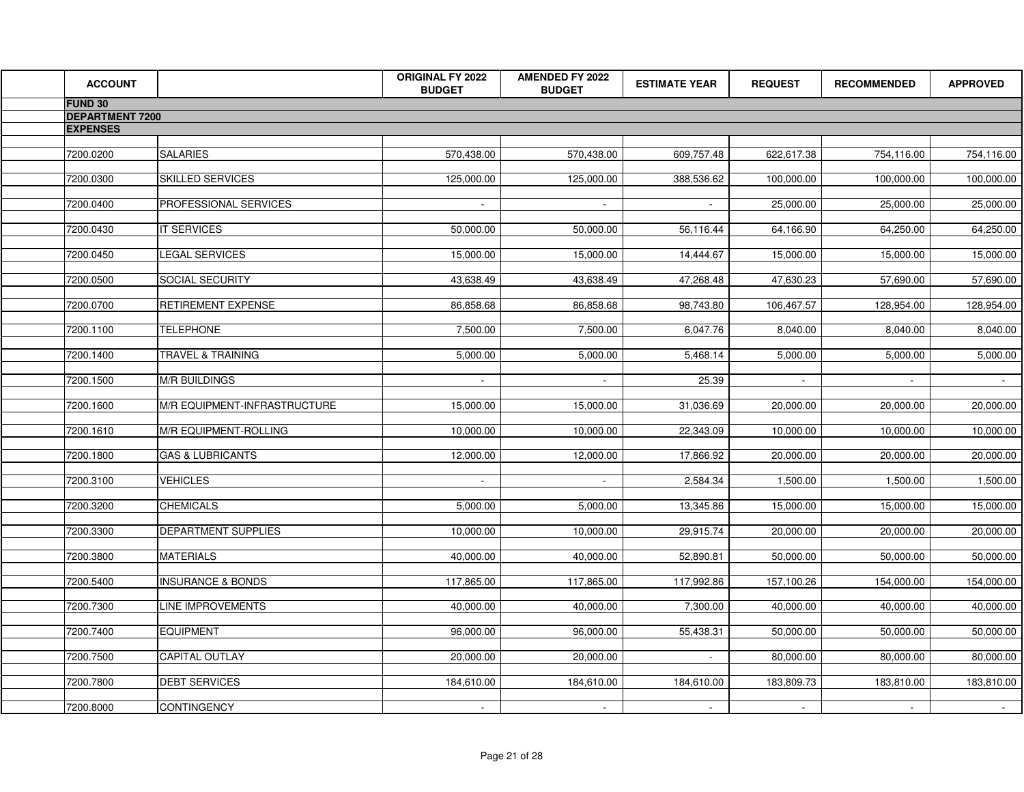| <b>ACCOUNT</b>         |                              | <b>ORIGINAL FY 2022</b><br><b>BUDGET</b> | <b>AMENDED FY 2022</b><br><b>BUDGET</b> | <b>ESTIMATE YEAR</b> | <b>REQUEST</b> | <b>RECOMMENDED</b> | <b>APPROVED</b> |
|------------------------|------------------------------|------------------------------------------|-----------------------------------------|----------------------|----------------|--------------------|-----------------|
| <b>FUND 30</b>         |                              |                                          |                                         |                      |                |                    |                 |
| <b>DEPARTMENT 7200</b> |                              |                                          |                                         |                      |                |                    |                 |
| <b>EXPENSES</b>        |                              |                                          |                                         |                      |                |                    |                 |
| 7200.0200              | <b>SALARIES</b>              | 570,438.00                               | 570,438.00                              | 609,757.48           | 622,617.38     | 754,116.00         | 754,116.00      |
|                        |                              |                                          |                                         |                      |                |                    |                 |
| 7200.0300              | SKILLED SERVICES             | 125,000.00                               | 125,000.00                              | 388,536.62           | 100,000.00     | 100,000.00         | 100,000.00      |
|                        |                              |                                          |                                         |                      |                |                    |                 |
| 7200.0400              | <b>PROFESSIONAL SERVICES</b> |                                          |                                         |                      | 25,000.00      | 25,000.00          | 25,000.00       |
| 7200.0430              | <b>IT SERVICES</b>           | 50,000.00                                | 50,000.00                               | 56,116.44            | 64,166.90      | 64,250.00          | 64,250.00       |
|                        |                              |                                          |                                         |                      |                |                    |                 |
| 7200.0450              | <b>LEGAL SERVICES</b>        | 15,000.00                                | 15,000.00                               | 14,444.67            | 15,000.00      | 15,000.00          | 15,000.00       |
| 7200.0500              | <b>SOCIAL SECURITY</b>       | 43,638.49                                | 43,638.49                               | 47,268.48            | 47,630.23      | 57,690.00          | 57,690.00       |
|                        |                              |                                          |                                         |                      |                |                    |                 |
| 7200.0700              | <b>RETIREMENT EXPENSE</b>    | 86,858.68                                | 86,858.68                               | 98,743.80            | 106,467.57     | 128,954.00         | 128,954.00      |
|                        |                              |                                          |                                         |                      |                |                    |                 |
| 7200.1100              | <b>TELEPHONE</b>             | 7,500.00                                 | 7,500.00                                | 6,047.76             | 8,040.00       | 8,040.00           | 8,040.00        |
| 7200.1400              | <b>TRAVEL &amp; TRAINING</b> | 5,000.00                                 | 5,000.00                                | 5,468.14             | 5,000.00       | 5,000.00           | 5,000.00        |
|                        |                              |                                          |                                         |                      |                |                    |                 |
| 7200.1500              | <b>M/R BUILDINGS</b>         | $\sim$                                   | $\sim$                                  | 25.39                | $\sim$         | $\sim$             | $\sim 10^{-1}$  |
|                        |                              |                                          |                                         |                      |                |                    |                 |
| 7200.1600              | M/R EQUIPMENT-INFRASTRUCTURE | 15,000.00                                | 15,000.00                               | 31,036.69            | 20,000.00      | 20,000.00          | 20,000.00       |
| 7200.1610              | M/R EQUIPMENT-ROLLING        | 10,000.00                                | 10,000.00                               | 22,343.09            | 10,000.00      | 10,000.00          | 10,000.00       |
|                        |                              |                                          |                                         |                      |                |                    |                 |
| 7200.1800              | <b>GAS &amp; LUBRICANTS</b>  | 12,000.00                                | 12,000.00                               | 17,866.92            | 20,000.00      | 20,000.00          | 20,000.00       |
| 7200.3100              | <b>VEHICLES</b>              | $\sim$                                   | $\sim$                                  | 2,584.34             | 1,500.00       | 1,500.00           | 1,500.00        |
|                        |                              |                                          |                                         |                      |                |                    |                 |
| 7200.3200              | <b>CHEMICALS</b>             | 5,000.00                                 | 5,000.00                                | 13,345.86            | 15,000.00      | 15,000.00          | 15,000.00       |
|                        |                              |                                          |                                         |                      |                |                    |                 |
| 7200.3300              | <b>DEPARTMENT SUPPLIES</b>   | 10,000.00                                | 10,000.00                               | 29,915.74            | 20,000.00      | 20,000.00          | 20,000.00       |
| 7200.3800              | <b>MATERIALS</b>             | 40,000.00                                | 40,000.00                               | 52,890.81            | 50,000.00      | 50,000.00          | 50,000.00       |
|                        |                              |                                          |                                         |                      |                |                    |                 |
| 7200.5400              | <b>INSURANCE &amp; BONDS</b> | 117,865.00                               | 117,865.00                              | 117,992.86           | 157,100.26     | 154,000.00         | 154,000.00      |
| 7200.7300              | <b>LINE IMPROVEMENTS</b>     | 40,000.00                                | 40,000.00                               | 7,300.00             | 40,000.00      | 40,000.00          | 40,000.00       |
|                        |                              |                                          |                                         |                      |                |                    |                 |
| 7200.7400              | <b>EQUIPMENT</b>             | 96,000.00                                | 96,000.00                               | 55,438.31            | 50,000.00      | 50,000.00          | 50,000.00       |
|                        |                              |                                          |                                         |                      |                |                    |                 |
| 7200.7500              | <b>CAPITAL OUTLAY</b>        | 20,000.00                                | 20,000.00                               |                      | 80,000.00      | 80,000.00          | 80,000.00       |
| 7200.7800              | <b>DEBT SERVICES</b>         | 184,610.00                               | 184,610.00                              | 184,610.00           | 183,809.73     | 183,810.00         | 183,810.00      |
|                        |                              |                                          |                                         |                      |                |                    |                 |
| 7200.8000              | <b>CONTINGENCY</b>           | $\sim$                                   | $\sim$                                  | $\sim$               | $\sim$         |                    |                 |
|                        |                              |                                          |                                         |                      |                |                    |                 |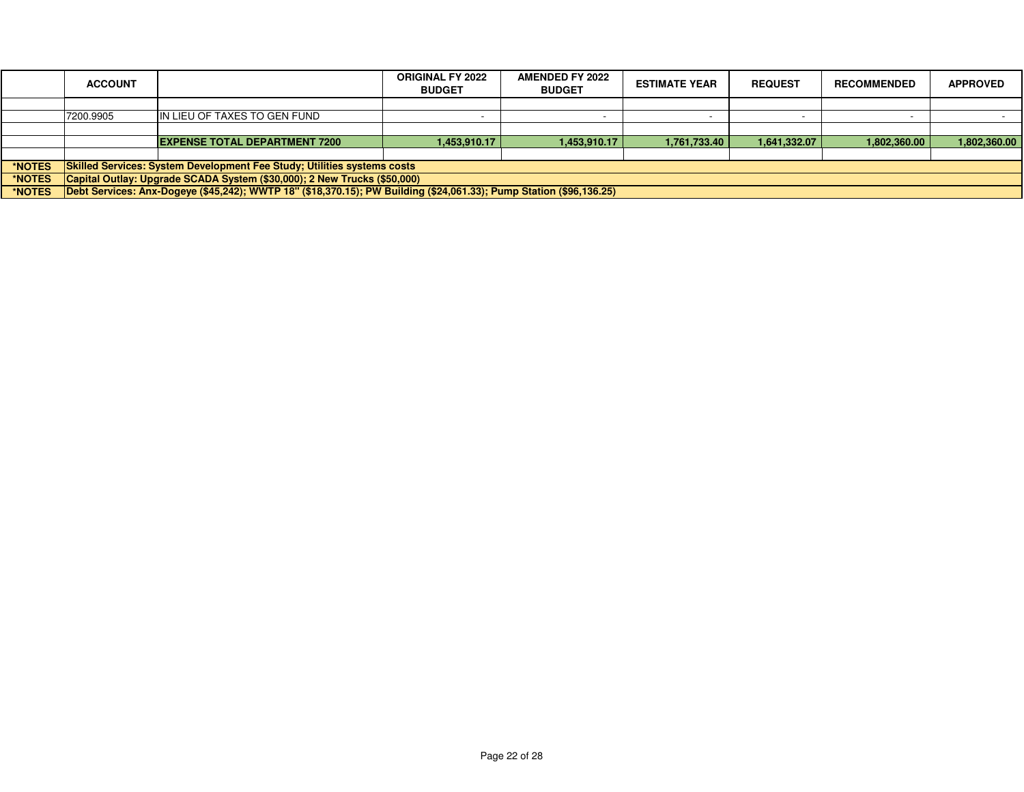|               | <b>ACCOUNT</b>                                                                                                      |                                      | <b>ORIGINAL FY 2022</b><br><b>BUDGET</b> | <b>AMENDED FY 2022</b><br><b>BUDGET</b> | <b>ESTIMATE YEAR</b> | <b>REQUEST</b> | <b>RECOMMENDED</b> | <b>APPROVED</b> |
|---------------|---------------------------------------------------------------------------------------------------------------------|--------------------------------------|------------------------------------------|-----------------------------------------|----------------------|----------------|--------------------|-----------------|
|               |                                                                                                                     |                                      |                                          |                                         |                      |                |                    |                 |
|               | 7200.9905                                                                                                           | IN LIEU OF TAXES TO GEN FUND         |                                          |                                         |                      |                |                    |                 |
|               |                                                                                                                     |                                      |                                          |                                         |                      |                |                    |                 |
|               |                                                                                                                     | <b>EXPENSE TOTAL DEPARTMENT 7200</b> | 1.453.910.17丨                            | 1.453.910.17                            | 1.761.733.40         | 1,641,332.07   | 1.802.360.00       | 1,802,360.00    |
|               |                                                                                                                     |                                      |                                          |                                         |                      |                |                    |                 |
| *NOTES        | <b>Skilled Services: System Development Fee Study; Utilities systems costs</b>                                      |                                      |                                          |                                         |                      |                |                    |                 |
| <b>*NOTES</b> | Capital Outlay: Upgrade SCADA System (\$30,000); 2 New Trucks (\$50,000)                                            |                                      |                                          |                                         |                      |                |                    |                 |
| *NOTES        | Debt Services: Anx-Dogeve (\$45,242); WWTP 18" (\$18,370.15); PW Building (\$24,061.33); Pump Station (\$96,136.25) |                                      |                                          |                                         |                      |                |                    |                 |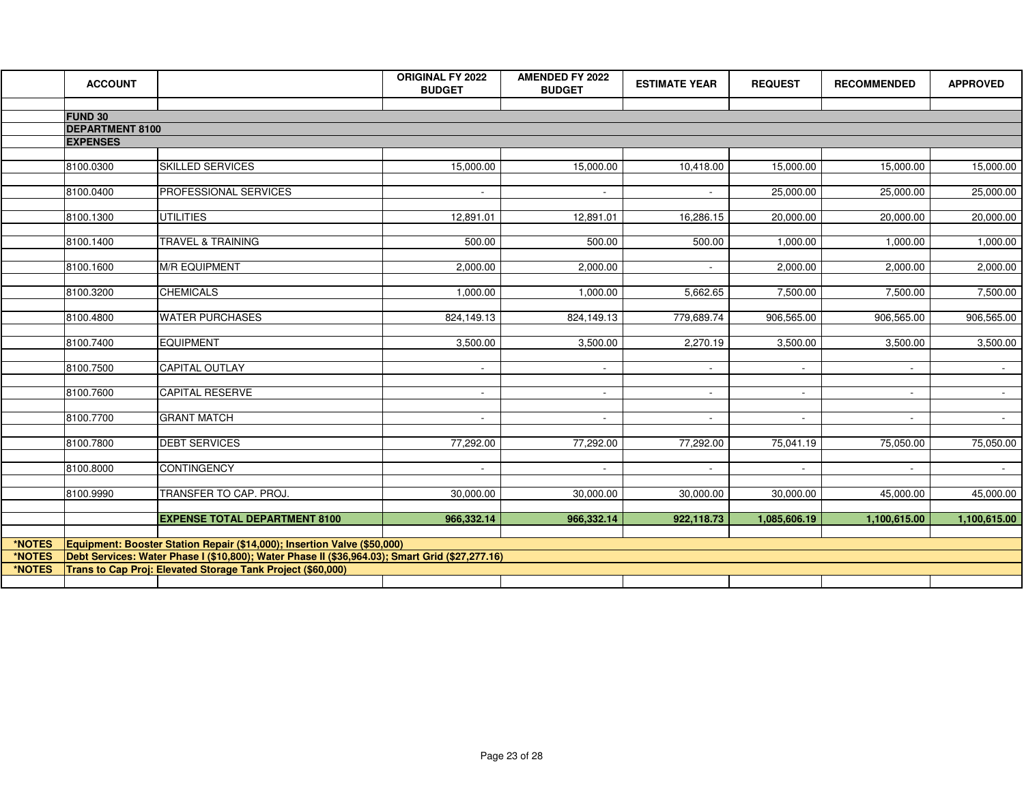|        | <b>ACCOUNT</b>                           |                                                                                                 | <b>ORIGINAL FY 2022</b><br><b>BUDGET</b> | <b>AMENDED FY 2022</b><br><b>BUDGET</b> | <b>ESTIMATE YEAR</b> | <b>REQUEST</b> | <b>RECOMMENDED</b> | <b>APPROVED</b> |
|--------|------------------------------------------|-------------------------------------------------------------------------------------------------|------------------------------------------|-----------------------------------------|----------------------|----------------|--------------------|-----------------|
|        |                                          |                                                                                                 |                                          |                                         |                      |                |                    |                 |
|        | <b>FUND 30</b><br><b>DEPARTMENT 8100</b> |                                                                                                 |                                          |                                         |                      |                |                    |                 |
|        | <b>EXPENSES</b>                          |                                                                                                 |                                          |                                         |                      |                |                    |                 |
|        |                                          |                                                                                                 |                                          |                                         |                      |                |                    |                 |
|        | 8100.0300                                | <b>SKILLED SERVICES</b>                                                                         | 15,000.00                                | 15,000.00                               | 10,418.00            | 15,000.00      | 15,000.00          | 15,000.00       |
|        |                                          |                                                                                                 |                                          |                                         |                      |                |                    |                 |
|        | 8100.0400                                | PROFESSIONAL SERVICES                                                                           |                                          |                                         |                      | 25,000.00      | 25,000.00          | 25,000.00       |
|        | 8100.1300                                | <b>UTILITIES</b>                                                                                | 12,891.01                                | 12,891.01                               | 16,286.15            | 20,000.00      | 20,000.00          |                 |
|        |                                          |                                                                                                 |                                          |                                         |                      |                |                    | 20,000.00       |
|        | 8100.1400                                | <b>TRAVEL &amp; TRAINING</b>                                                                    | $\overline{500.00}$                      | 500.00                                  | 500.00               | 1,000.00       | 1,000.00           | 1,000.00        |
|        |                                          |                                                                                                 |                                          |                                         |                      |                |                    |                 |
|        | 8100.1600                                | <b>M/R EQUIPMENT</b>                                                                            | 2.000.00                                 | 2.000.00                                |                      | 2,000.00       | 2,000.00           | 2,000.00        |
|        |                                          |                                                                                                 |                                          |                                         |                      |                |                    |                 |
|        | 8100.3200                                | <b>CHEMICALS</b>                                                                                | 1,000.00                                 | 1,000.00                                | 5,662.65             | 7,500.00       | 7,500.00           | 7,500.00        |
|        | 8100.4800                                | <b>WATER PURCHASES</b>                                                                          | 824,149.13                               | 824,149.13                              | 779,689.74           | 906,565.00     | 906,565.00         | 906,565.00      |
|        |                                          |                                                                                                 |                                          |                                         |                      |                |                    |                 |
|        | 8100.7400                                | <b>EQUIPMENT</b>                                                                                | 3,500.00                                 | 3,500.00                                | 2,270.19             | 3,500.00       | 3,500.00           | 3,500.00        |
|        |                                          |                                                                                                 |                                          |                                         |                      |                |                    |                 |
|        | 8100.7500                                | <b>CAPITAL OUTLAY</b>                                                                           | $\sim$                                   | $\sim$                                  | $\sim$               |                |                    |                 |
|        |                                          |                                                                                                 |                                          |                                         |                      |                |                    |                 |
|        | 8100.7600                                | <b>CAPITAL RESERVE</b>                                                                          |                                          |                                         |                      |                |                    |                 |
|        | 8100.7700                                | <b>GRANT MATCH</b>                                                                              | $\sim$                                   | $\sim$                                  | $\sim$               | $\sim$         | $\sim$             | $\sim 100$      |
|        |                                          |                                                                                                 |                                          |                                         |                      |                |                    |                 |
|        | 8100.7800                                | <b>DEBT SERVICES</b>                                                                            | 77,292.00                                | 77,292.00                               | 77,292.00            | 75,041.19      | 75,050.00          | 75,050.00       |
|        |                                          |                                                                                                 |                                          |                                         |                      |                |                    |                 |
|        | 8100.8000                                | <b>CONTINGENCY</b>                                                                              | $\sim$                                   | $\sim$                                  |                      |                |                    |                 |
|        |                                          |                                                                                                 |                                          |                                         |                      |                |                    |                 |
|        | 8100.9990                                | TRANSFER TO CAP. PROJ.                                                                          | 30,000.00                                | 30,000.00                               | 30,000.00            | 30,000.00      | 45,000.00          | 45,000.00       |
|        |                                          | <b>EXPENSE TOTAL DEPARTMENT 8100</b>                                                            | 966,332.14                               | 966,332.14                              | 922,118.73           | 1,085,606.19   | 1,100,615.00       | 1,100,615.00    |
|        |                                          |                                                                                                 |                                          |                                         |                      |                |                    |                 |
| *NOTES |                                          | Equipment: Booster Station Repair (\$14,000); Insertion Valve (\$50,000)                        |                                          |                                         |                      |                |                    |                 |
| *NOTES |                                          | Debt Services: Water Phase I (\$10,800); Water Phase II (\$36,964.03); Smart Grid (\$27,277.16) |                                          |                                         |                      |                |                    |                 |
| *NOTES |                                          | Trans to Cap Proj: Elevated Storage Tank Project (\$60,000)                                     |                                          |                                         |                      |                |                    |                 |
|        |                                          |                                                                                                 |                                          |                                         |                      |                |                    |                 |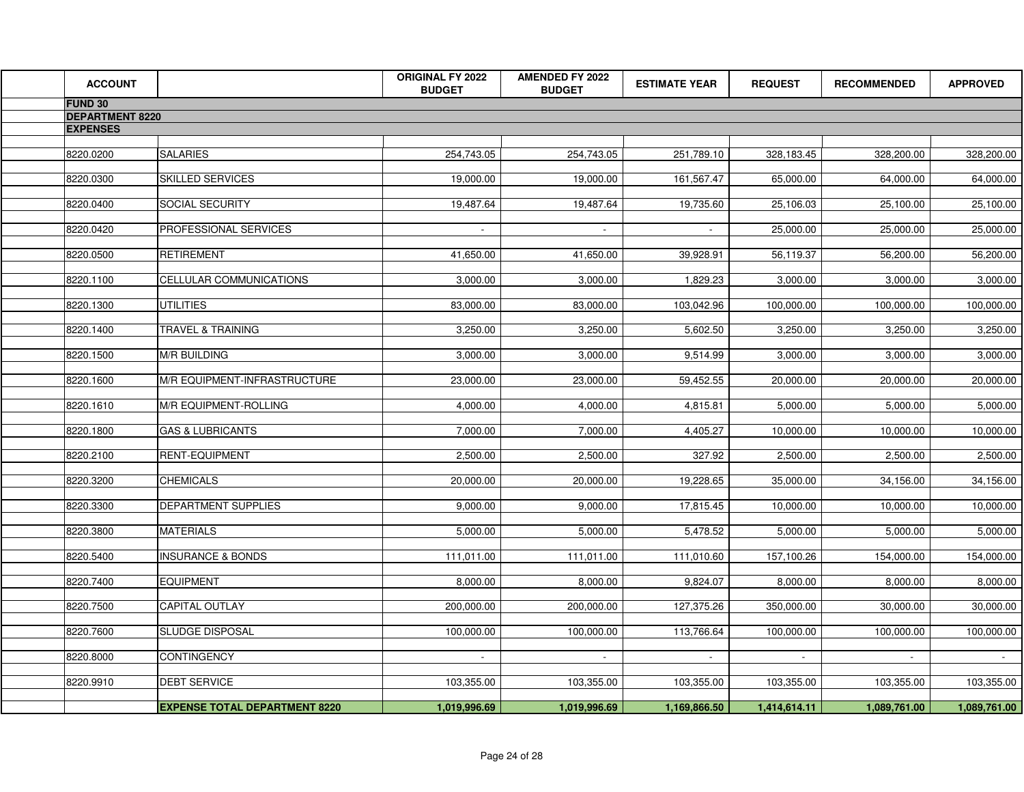| <b>ACCOUNT</b>         |                                      | <b>ORIGINAL FY 2022</b><br><b>BUDGET</b> | <b>AMENDED FY 2022</b><br><b>BUDGET</b> | <b>ESTIMATE YEAR</b> | <b>REQUEST</b> | <b>RECOMMENDED</b> | <b>APPROVED</b> |
|------------------------|--------------------------------------|------------------------------------------|-----------------------------------------|----------------------|----------------|--------------------|-----------------|
| FUND 30                |                                      |                                          |                                         |                      |                |                    |                 |
| <b>DEPARTMENT 8220</b> |                                      |                                          |                                         |                      |                |                    |                 |
| <b>EXPENSES</b>        |                                      |                                          |                                         |                      |                |                    |                 |
| 8220.0200              | <b>SALARIES</b>                      | 254,743.05                               | 254,743.05                              | 251,789.10           | 328,183.45     | 328,200.00         | 328,200.00      |
|                        |                                      |                                          |                                         |                      |                |                    |                 |
| 8220.0300              | <b>SKILLED SERVICES</b>              | 19,000.00                                | 19,000.00                               | 161,567.47           | 65,000.00      | 64,000.00          | 64,000.00       |
|                        |                                      |                                          |                                         |                      |                |                    |                 |
| 8220.0400              | <b>SOCIAL SECURITY</b>               | 19,487.64                                | 19,487.64                               | 19,735.60            | 25,106.03      | 25,100.00          | 25,100.00       |
| 8220.0420              | <b>PROFESSIONAL SERVICES</b>         |                                          |                                         |                      | 25,000.00      | 25,000.00          | 25,000.00       |
|                        |                                      |                                          |                                         |                      |                |                    |                 |
| 8220.0500              | RETIREMENT                           | 41,650.00                                | 41,650.00                               | 39,928.91            | 56,119.37      | 56,200.00          | 56,200.00       |
| 8220.1100              | CELLULAR COMMUNICATIONS              | 3,000.00                                 | 3,000.00                                | 1,829.23             | 3,000.00       | 3,000.00           | 3,000.00        |
|                        |                                      |                                          |                                         |                      |                |                    |                 |
| 8220.1300              | UTILITIES                            | 83,000.00                                | 83,000.00                               | 103,042.96           | 100,000.00     | 100,000.00         | 100,000.00      |
|                        |                                      |                                          |                                         |                      |                |                    |                 |
| 8220.1400              | TRAVEL & TRAINING                    | 3,250.00                                 | 3,250.00                                | 5,602.50             | 3,250.00       | 3,250.00           | 3,250.00        |
| 8220.1500              | <b>M/R BUILDING</b>                  | 3,000.00                                 | 3,000.00                                | 9,514.99             | 3,000.00       | 3,000.00           | 3,000.00        |
|                        |                                      |                                          |                                         |                      |                |                    |                 |
| 8220.1600              | <b>M/R EQUIPMENT-INFRASTRUCTURE</b>  | 23,000.00                                | 23,000.00                               | 59,452.55            | 20,000.00      | 20,000.00          | 20,000.00       |
| 8220.1610              | M/R EQUIPMENT-ROLLING                | 4,000.00                                 | 4,000.00                                | 4,815.81             | 5,000.00       | 5,000.00           | 5,000.00        |
|                        |                                      |                                          |                                         |                      |                |                    |                 |
| 8220.1800              | <b>GAS &amp; LUBRICANTS</b>          | 7,000.00                                 | 7,000.00                                | 4,405.27             | 10,000.00      | 10,000.00          | 10,000.00       |
|                        |                                      |                                          |                                         |                      |                |                    |                 |
| 8220.2100              | <b>RENT-EQUIPMENT</b>                | 2,500.00                                 | 2,500.00                                | 327.92               | 2,500.00       | 2,500.00           | 2,500.00        |
| 8220.3200              | <b>CHEMICALS</b>                     | 20,000.00                                | 20,000.00                               | 19,228.65            | 35,000.00      | 34,156.00          | 34,156.00       |
|                        |                                      |                                          |                                         |                      |                |                    |                 |
| 8220.3300              | <b>DEPARTMENT SUPPLIES</b>           | 9,000.00                                 | 9,000.00                                | 17,815.45            | 10,000.00      | 10,000.00          | 10,000.00       |
| 8220.3800              | <b>MATERIALS</b>                     | 5,000.00                                 | 5,000.00                                | 5,478.52             | 5,000.00       | 5,000.00           | 5,000.00        |
|                        |                                      |                                          |                                         |                      |                |                    |                 |
| 8220.5400              | <b>INSURANCE &amp; BONDS</b>         | 111,011.00                               | 111,011.00                              | 111,010.60           | 157,100.26     | 154,000.00         | 154,000.00      |
|                        |                                      |                                          |                                         |                      |                |                    |                 |
| 8220.7400              | <b>EQUIPMENT</b>                     | 8,000.00                                 | 8,000.00                                | 9,824.07             | 8,000.00       | 8,000.00           | 8,000.00        |
| 8220.7500              | <b>CAPITAL OUTLAY</b>                | 200,000.00                               | 200,000.00                              | 127,375.26           | 350,000.00     | 30,000.00          | 30,000.00       |
|                        |                                      |                                          |                                         |                      |                |                    |                 |
| 8220.7600              | <b>SLUDGE DISPOSAL</b>               | 100,000.00                               | 100,000.00                              | 113,766.64           | 100,000.00     | 100,000.00         | 100,000.00      |
| 8220.8000              | <b>CONTINGENCY</b>                   | $\sim$                                   | $\sim$                                  | $\sim$               | $\sim$         | $\sim$             | $\sim$ $-$      |
|                        |                                      |                                          |                                         |                      |                |                    |                 |
| 8220.9910              | <b>DEBT SERVICE</b>                  | 103,355.00                               | 103,355.00                              | 103,355.00           | 103,355.00     | 103,355.00         | 103,355.00      |
|                        |                                      |                                          |                                         |                      |                |                    |                 |
|                        | <b>EXPENSE TOTAL DEPARTMENT 8220</b> | 1,019,996.69                             | 1,019,996.69                            | 1,169,866.50         | 1,414,614.11   | 1,089,761.00       | 1,089,761.00    |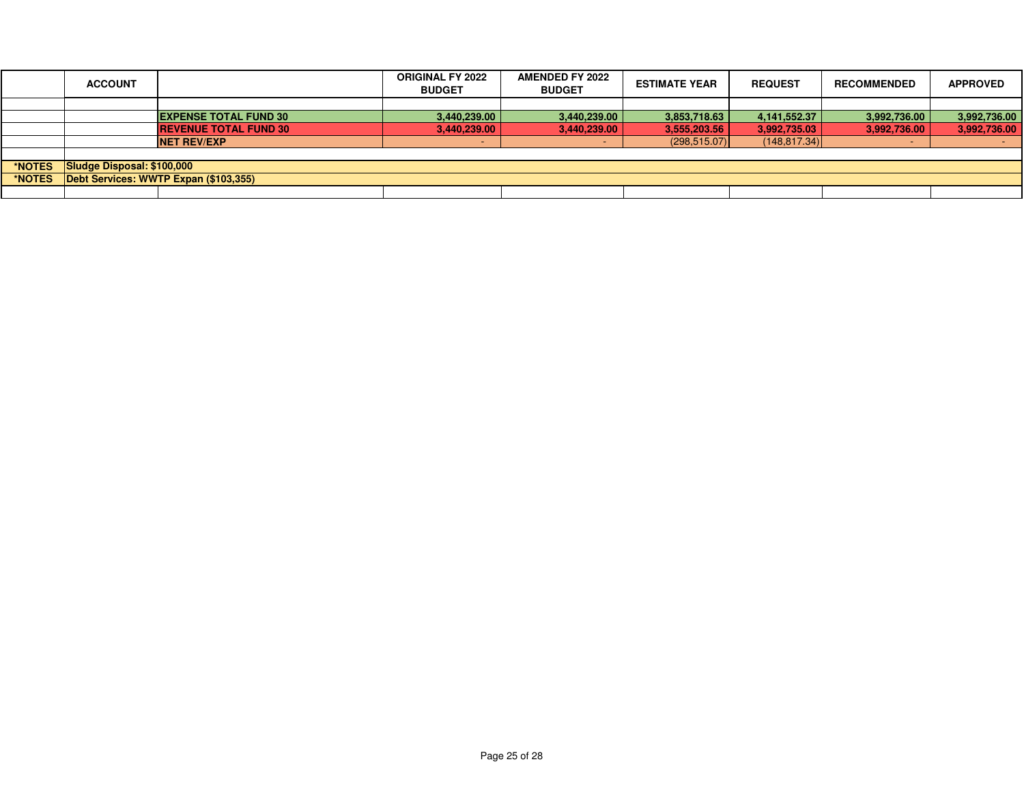|        | <b>ACCOUNT</b>                        |                              | <b>ORIGINAL FY 2022</b><br><b>BUDGET</b> | <b>AMENDED FY 2022</b><br><b>BUDGET</b> | <b>ESTIMATE YEAR</b> | <b>REQUEST</b> | <b>RECOMMENDED</b> | <b>APPROVED</b> |
|--------|---------------------------------------|------------------------------|------------------------------------------|-----------------------------------------|----------------------|----------------|--------------------|-----------------|
|        |                                       |                              |                                          |                                         |                      |                |                    |                 |
|        |                                       | <b>EXPENSE TOTAL FUND 30</b> | 3,440,239.00                             | 3,440,239.00                            | 3,853,718.63         | 4,141,552.37   | 3,992,736.00       | 3,992,736.00    |
|        |                                       | <b>REVENUE TOTAL FUND 30</b> | 3,440,239.00                             | 3,440,239.00                            | 3,555,203.56         | 3,992,735.03   | 3,992,736.00       | 3,992,736.00    |
|        |                                       | <b>NET REV/EXP</b>           |                                          | . .                                     | (298, 515.07)        | (148, 817.34)  |                    |                 |
|        |                                       |                              |                                          |                                         |                      |                |                    |                 |
| *NOTES | Sludge Disposal: \$100,000            |                              |                                          |                                         |                      |                |                    |                 |
| *NOTES | Debt Services: WWTP Expan (\$103,355) |                              |                                          |                                         |                      |                |                    |                 |
|        |                                       |                              |                                          |                                         |                      |                |                    |                 |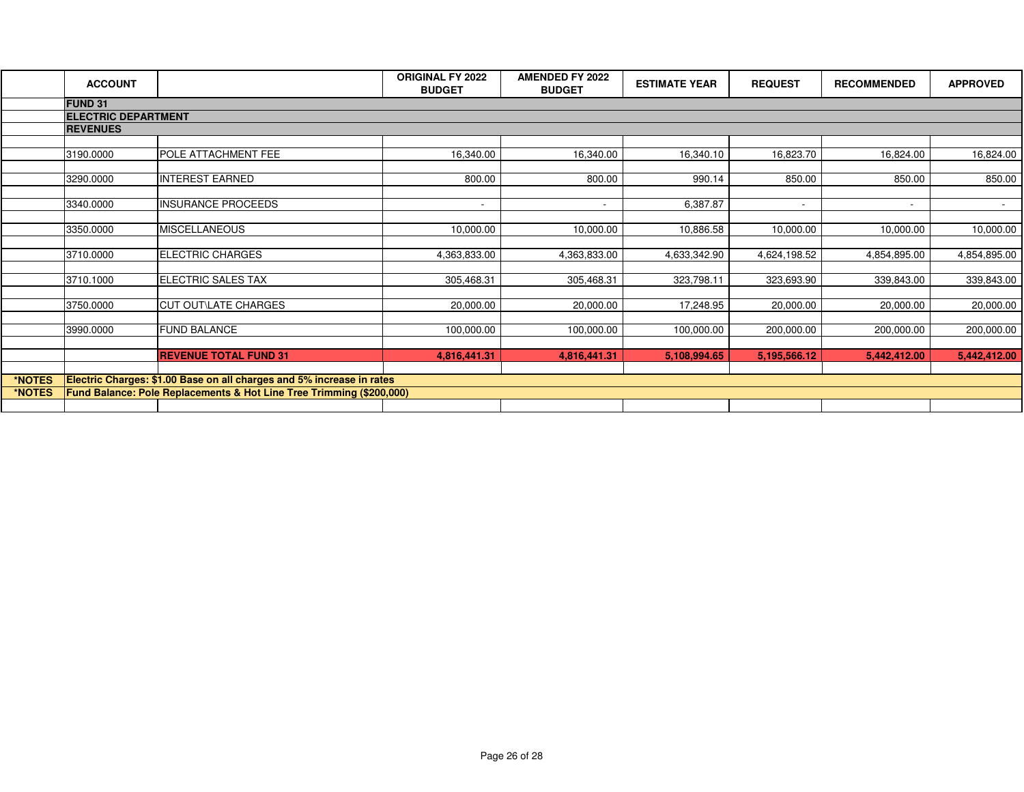|        | <b>ACCOUNT</b>  |                                                                       | <b>ORIGINAL FY 2022</b><br><b>BUDGET</b> | <b>AMENDED FY 2022</b><br><b>BUDGET</b> | <b>ESTIMATE YEAR</b> | <b>REQUEST</b>           | <b>RECOMMENDED</b>       | <b>APPROVED</b>  |  |  |
|--------|-----------------|-----------------------------------------------------------------------|------------------------------------------|-----------------------------------------|----------------------|--------------------------|--------------------------|------------------|--|--|
|        | <b>FUND 31</b>  |                                                                       |                                          |                                         |                      |                          |                          |                  |  |  |
|        |                 | <b>ELECTRIC DEPARTMENT</b>                                            |                                          |                                         |                      |                          |                          |                  |  |  |
|        | <b>REVENUES</b> |                                                                       |                                          |                                         |                      |                          |                          |                  |  |  |
|        |                 |                                                                       |                                          |                                         |                      |                          |                          |                  |  |  |
|        | 3190.0000       | POLE ATTACHMENT FEE                                                   | 16,340.00                                | 16,340.00                               | 16,340.10            | 16,823.70                | 16,824.00                | 16,824.00        |  |  |
|        |                 |                                                                       |                                          |                                         |                      |                          |                          |                  |  |  |
|        | 3290.0000       | <b>INTEREST EARNED</b>                                                | 800.00                                   | 800.00                                  | 990.14               | 850.00                   | 850.00                   | 850.00           |  |  |
|        |                 |                                                                       |                                          |                                         |                      |                          |                          |                  |  |  |
|        | 3340.0000       | <b>INSURANCE PROCEEDS</b>                                             | $\overline{\phantom{a}}$                 | $\sim$                                  | 6,387.87             | $\overline{\phantom{a}}$ | $\overline{\phantom{a}}$ | $\sim$ 100 $\mu$ |  |  |
|        |                 |                                                                       |                                          |                                         |                      |                          |                          |                  |  |  |
|        | 3350.0000       | <b>MISCELLANEOUS</b>                                                  | 10,000.00                                | 10,000.00                               | 10,886.58            | 10,000.00                | 10,000.00                | 10,000.00        |  |  |
|        |                 |                                                                       |                                          |                                         |                      |                          |                          |                  |  |  |
|        | 3710.0000       | <b>ELECTRIC CHARGES</b>                                               | 4,363,833.00                             | 4,363,833.00                            | 4,633,342.90         | 4,624,198.52             | 4,854,895.00             | 4,854,895.00     |  |  |
|        |                 |                                                                       |                                          |                                         |                      |                          |                          |                  |  |  |
|        | 3710.1000       | ELECTRIC SALES TAX                                                    | 305,468.31                               | 305,468.31                              | 323,798.11           | 323,693.90               | 339,843.00               | 339,843.00       |  |  |
|        |                 |                                                                       |                                          |                                         |                      |                          |                          |                  |  |  |
|        | 3750.0000       | <b>CUT OUT\LATE CHARGES</b>                                           | 20,000.00                                | 20,000.00                               | 17,248.95            | 20,000.00                | 20,000.00                | 20,000.00        |  |  |
|        |                 |                                                                       |                                          |                                         |                      |                          |                          |                  |  |  |
|        | 3990.0000       | <b>FUND BALANCE</b>                                                   | 100,000.00                               | 100,000.00                              | 100,000.00           | 200,000.00               | 200,000.00               | 200,000.00       |  |  |
|        |                 |                                                                       |                                          |                                         |                      |                          |                          |                  |  |  |
|        |                 | <b>REVENUE TOTAL FUND 31</b>                                          | 4,816,441.31                             | 4,816,441.31                            | 5,108,994.65         | 5,195,566.12             | 5,442,412.00             | 5,442,412.00     |  |  |
| *NOTES |                 | Electric Charges: \$1.00 Base on all charges and 5% increase in rates |                                          |                                         |                      |                          |                          |                  |  |  |
| *NOTES |                 | Fund Balance: Pole Replacements & Hot Line Tree Trimming (\$200,000)  |                                          |                                         |                      |                          |                          |                  |  |  |
|        |                 |                                                                       |                                          |                                         |                      |                          |                          |                  |  |  |
|        |                 |                                                                       |                                          |                                         |                      |                          |                          |                  |  |  |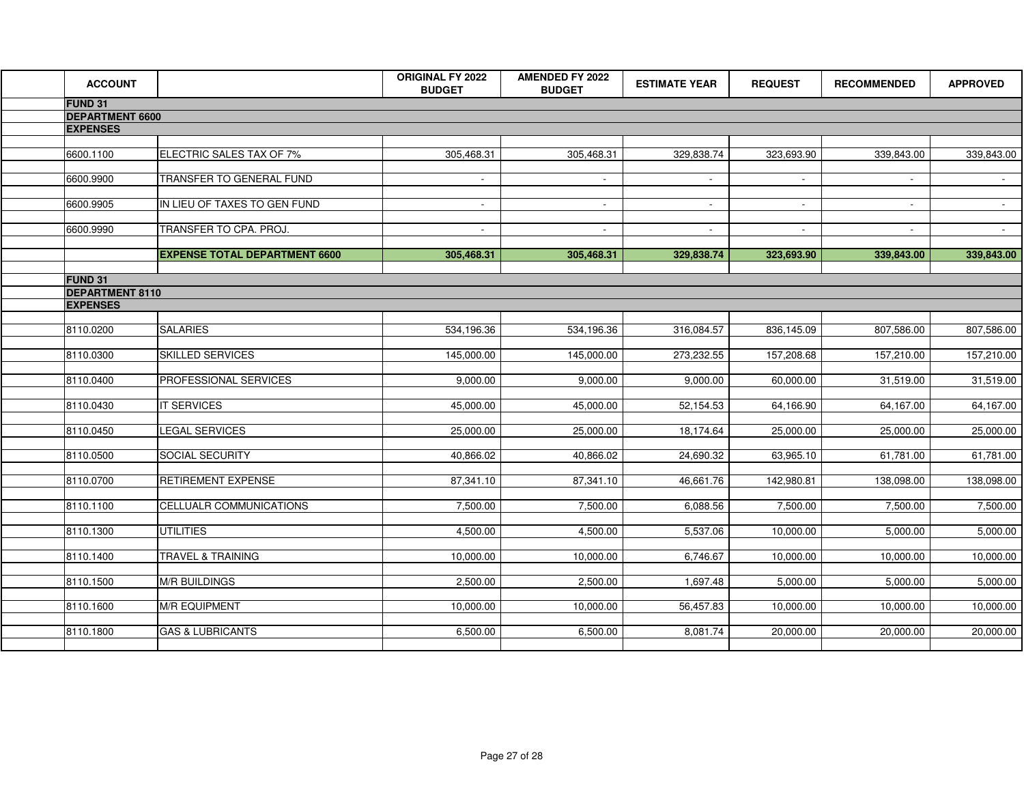| <b>ACCOUNT</b>         |                                      | <b>ORIGINAL FY 2022</b> | <b>AMENDED FY 2022</b> | <b>ESTIMATE YEAR</b> | <b>REQUEST</b> | <b>RECOMMENDED</b> | <b>APPROVED</b> |
|------------------------|--------------------------------------|-------------------------|------------------------|----------------------|----------------|--------------------|-----------------|
| <b>FUND 31</b>         |                                      | <b>BUDGET</b>           | <b>BUDGET</b>          |                      |                |                    |                 |
| <b>DEPARTMENT 6600</b> |                                      |                         |                        |                      |                |                    |                 |
| <b>EXPENSES</b>        |                                      |                         |                        |                      |                |                    |                 |
|                        |                                      |                         |                        |                      |                |                    |                 |
| 6600.1100              | ELECTRIC SALES TAX OF 7%             | 305,468.31              | 305,468.31             | 329,838.74           | 323,693.90     | 339,843.00         | 339,843.00      |
| 6600.9900              | TRANSFER TO GENERAL FUND             |                         |                        | $\sim$               | $\sim$         | $\sim$             | $\sim 10^{-1}$  |
|                        |                                      | $\sim$                  | $\sim$                 |                      |                |                    |                 |
| 6600.9905              | IN LIEU OF TAXES TO GEN FUND         | $\sim$                  | $\sim$                 | $\sim$               | $\sim$         |                    | $\sim$          |
|                        |                                      |                         |                        |                      |                |                    |                 |
| 6600.9990              | TRANSFER TO CPA. PROJ.               | $\sim$                  | $\sim$                 | $\sim$               | $\sim$         |                    | $\sim$          |
|                        | <b>EXPENSE TOTAL DEPARTMENT 6600</b> | 305,468.31              | 305,468.31             | 329,838.74           | 323,693.90     | 339,843.00         | 339,843.00      |
|                        |                                      |                         |                        |                      |                |                    |                 |
| <b>FUND 31</b>         |                                      |                         |                        |                      |                |                    |                 |
| <b>DEPARTMENT 8110</b> |                                      |                         |                        |                      |                |                    |                 |
| <b>EXPENSES</b>        |                                      |                         |                        |                      |                |                    |                 |
| 8110.0200              | <b>SALARIES</b>                      | 534,196.36              | 534,196.36             | 316,084.57           | 836,145.09     | 807,586.00         | 807,586.00      |
|                        |                                      |                         |                        |                      |                |                    |                 |
| 8110.0300              | SKILLED SERVICES                     | 145,000.00              | 145,000.00             | 273,232.55           | 157,208.68     | 157,210.00         | 157,210.00      |
| 8110.0400              | PROFESSIONAL SERVICES                | 9,000.00                | 9,000.00               | 9,000.00             | 60,000.00      | 31,519.00          | 31,519.00       |
|                        |                                      |                         |                        |                      |                |                    |                 |
| 8110.0430              | IT SERVICES                          | 45,000.00               | 45,000.00              | 52,154.53            | 64,166.90      | 64,167.00          | 64,167.00       |
|                        |                                      |                         |                        |                      |                |                    |                 |
| 8110.0450              | <b>LEGAL SERVICES</b>                | 25,000.00               | 25,000.00              | 18,174.64            | 25,000.00      | 25,000.00          | 25,000.00       |
| 8110.0500              | SOCIAL SECURITY                      | 40,866.02               | 40,866.02              | 24,690.32            | 63,965.10      | 61,781.00          | 61,781.00       |
|                        |                                      |                         |                        |                      |                |                    |                 |
| 8110.0700              | RETIREMENT EXPENSE                   | 87,341.10               | 87,341.10              | 46,661.76            | 142,980.81     | 138,098.00         | 138,098.00      |
| 8110.1100              | CELLUALR COMMUNICATIONS              | 7,500.00                | 7,500.00               | 6,088.56             | 7,500.00       | 7,500.00           | 7,500.00        |
|                        |                                      |                         |                        |                      |                |                    |                 |
| 8110.1300              | <b>UTILITIES</b>                     | 4,500.00                | 4,500.00               | 5,537.06             | 10,000.00      | 5,000.00           | 5,000.00        |
| 8110.1400              | TRAVEL & TRAINING                    | 10,000.00               | 10,000.00              | 6,746.67             | 10,000.00      | 10,000.00          | 10,000.00       |
|                        |                                      |                         |                        |                      |                |                    |                 |
| 8110.1500              | <b>M/R BUILDINGS</b>                 | 2,500.00                | 2,500.00               | 1,697.48             | 5,000.00       | 5,000.00           | 5,000.00        |
|                        |                                      |                         |                        |                      |                |                    |                 |
| 8110.1600              | <b>M/R EQUIPMENT</b>                 | 10,000.00               | 10,000.00              | 56,457.83            | 10,000.00      | 10,000.00          | 10,000.00       |
| 8110.1800              | <b>GAS &amp; LUBRICANTS</b>          | 6,500.00                | 6,500.00               | 8,081.74             | 20,000.00      | 20,000.00          | 20,000.00       |
|                        |                                      |                         |                        |                      |                |                    |                 |